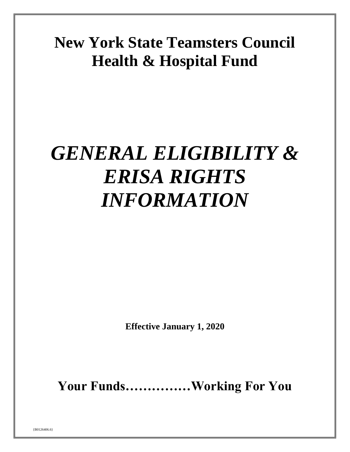# **New York State Teamsters Council Health & Hospital Fund**

# *GENERAL ELIGIBILITY & ERISA RIGHTS INFORMATION*

**Effective January 1, 2020**

**Your Funds……………Working For You**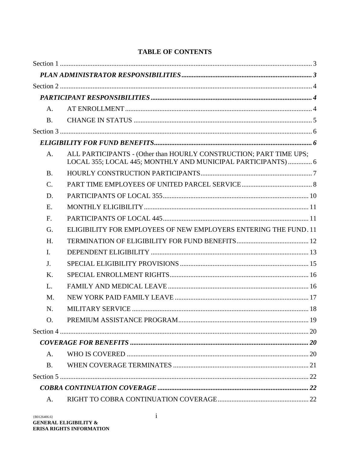| A.              |                                                                                                                                    |  |
|-----------------|------------------------------------------------------------------------------------------------------------------------------------|--|
| <b>B.</b>       |                                                                                                                                    |  |
|                 |                                                                                                                                    |  |
|                 |                                                                                                                                    |  |
| A.              | ALL PARTICIPANTS - (Other than HOURLY CONSTRUCTION; PART TIME UPS;<br>LOCAL 355; LOCAL 445; MONTHLY AND MUNICIPAL PARTICIPANTS)  6 |  |
| <b>B.</b>       |                                                                                                                                    |  |
| $\mathcal{C}$ . |                                                                                                                                    |  |
| D.              |                                                                                                                                    |  |
| E.              |                                                                                                                                    |  |
| F.              |                                                                                                                                    |  |
| G.              | ELIGIBILITY FOR EMPLOYEES OF NEW EMPLOYERS ENTERING THE FUND. 11                                                                   |  |
| H.              |                                                                                                                                    |  |
| $\mathbf{I}$ .  |                                                                                                                                    |  |
| J.              |                                                                                                                                    |  |
| $K_{\cdot}$     |                                                                                                                                    |  |
| L.              |                                                                                                                                    |  |
| M.              |                                                                                                                                    |  |
| N.              |                                                                                                                                    |  |
| Ο.              |                                                                                                                                    |  |
|                 |                                                                                                                                    |  |
|                 |                                                                                                                                    |  |
| A.              |                                                                                                                                    |  |
| <b>B.</b>       |                                                                                                                                    |  |
|                 |                                                                                                                                    |  |
|                 |                                                                                                                                    |  |
| A.              |                                                                                                                                    |  |

#### **TABLE OF CONTENTS**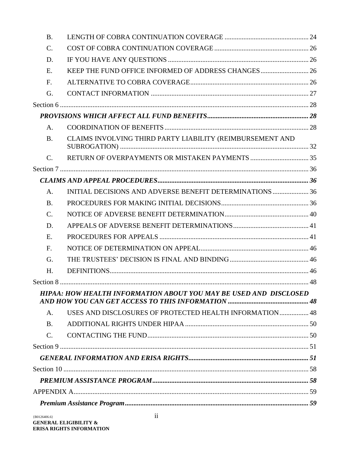| <b>B.</b>       |                                                                   |  |
|-----------------|-------------------------------------------------------------------|--|
| $\mathcal{C}$ . |                                                                   |  |
| D.              |                                                                   |  |
| E.              |                                                                   |  |
| F.              |                                                                   |  |
| G.              |                                                                   |  |
|                 |                                                                   |  |
|                 |                                                                   |  |
| $A_{\cdot}$     |                                                                   |  |
| <b>B.</b>       | CLAIMS INVOLVING THIRD PARTY LIABILITY (REIMBURSEMENT AND         |  |
| $C_{\cdot}$     |                                                                   |  |
|                 |                                                                   |  |
|                 |                                                                   |  |
| A <sub>1</sub>  | INITIAL DECISIONS AND ADVERSE BENEFIT DETERMINATIONS  36          |  |
| <b>B.</b>       |                                                                   |  |
| $\mathbf{C}$ .  |                                                                   |  |
| D.              |                                                                   |  |
| E.              |                                                                   |  |
| F.              |                                                                   |  |
| G.              |                                                                   |  |
| H.              |                                                                   |  |
|                 |                                                                   |  |
|                 | HIPAA: HOW HEALTH INFORMATION ABOUT YOU MAY BE USED AND DISCLOSED |  |
| A.              | USES AND DISCLOSURES OF PROTECTED HEALTH INFORMATION 48           |  |
| <b>B.</b>       |                                                                   |  |
| $C_{\cdot}$     |                                                                   |  |
|                 |                                                                   |  |
|                 |                                                                   |  |
|                 |                                                                   |  |
|                 |                                                                   |  |
|                 |                                                                   |  |
|                 |                                                                   |  |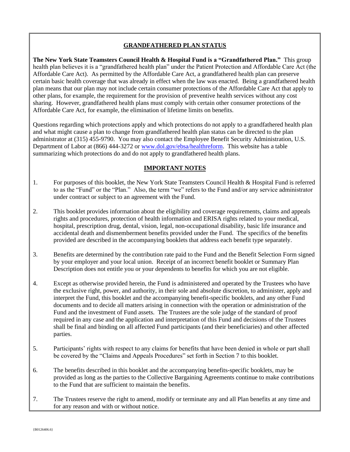#### **GRANDFATHERED PLAN STATUS**

**The New York State Teamsters Council Health & Hospital Fund is a "Grandfathered Plan."** This group health plan believes it is a "grandfathered health plan" under the Patient Protection and Affordable Care Act (the Affordable Care Act). As permitted by the Affordable Care Act, a grandfathered health plan can preserve certain basic health coverage that was already in effect when the law was enacted. Being a grandfathered health plan means that our plan may not include certain consumer protections of the Affordable Care Act that apply to other plans, for example, the requirement for the provision of preventive health services without any cost sharing. However, grandfathered health plans must comply with certain other consumer protections of the Affordable Care Act, for example, the elimination of lifetime limits on benefits.

Questions regarding which protections apply and which protections do not apply to a grandfathered health plan and what might cause a plan to change from grandfathered health plan status can be directed to the plan administrator at (315) 455-9790. You may also contact the Employee Benefit Security Administration, U.S. Department of Labor at (866) 444-3272 or [www.dol.gov/ebsa/healthreform.](http://www.dol.gov/ebsa/healthreform) This website has a table summarizing which protections do and do not apply to grandfathered health plans.

#### **IMPORTANT NOTES**

- 1. For purposes of this booklet, the New York State Teamsters Council Health & Hospital Fund is referred to as the "Fund" or the "Plan." Also, the term "we" refers to the Fund and/or any service administrator under contract or subject to an agreement with the Fund.
- 2. This booklet provides information about the eligibility and coverage requirements, claims and appeals rights and procedures, protection of health information and ERISA rights related to your medical, hospital, prescription drug, dental, vision, legal, non-occupational disability, basic life insurance and accidental death and dismemberment benefits provided under the Fund. The specifics of the benefits provided are described in the accompanying booklets that address each benefit type separately.
- 3. Benefits are determined by the contribution rate paid to the Fund and the Benefit Selection Form signed by your employer and your local union. Receipt of an incorrect benefit booklet or Summary Plan Description does not entitle you or your dependents to benefits for which you are not eligible.
- 4. Except as otherwise provided herein, the Fund is administered and operated by the Trustees who have the exclusive right, power, and authority, in their sole and absolute discretion, to administer, apply and interpret the Fund, this booklet and the accompanying benefit-specific booklets, and any other Fund documents and to decide all matters arising in connection with the operation or administration of the Fund and the investment of Fund assets. The Trustees are the sole judge of the standard of proof required in any case and the application and interpretation of this Fund and decisions of the Trustees shall be final and binding on all affected Fund participants (and their beneficiaries) and other affected parties.
- 5. Participants' rights with respect to any claims for benefits that have been denied in whole or part shall be covered by the "Claims and Appeals Procedures" set forth in Section 7 to this booklet.
- 6. The benefits described in this booklet and the accompanying benefits-specific booklets, may be provided as long as the parties to the Collective Bargaining Agreements continue to make contributions to the Fund that are sufficient to maintain the benefits.
- 7. The Trustees reserve the right to amend, modify or terminate any and all Plan benefits at any time and for any reason and with or without notice.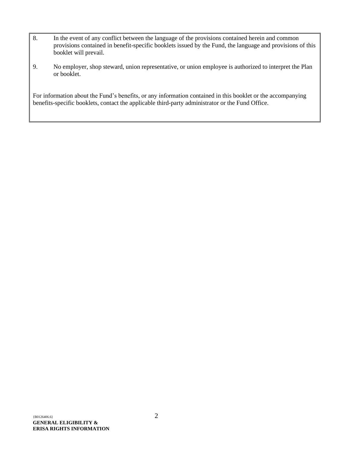- 8. In the event of any conflict between the language of the provisions contained herein and common provisions contained in benefit-specific booklets issued by the Fund, the language and provisions of this booklet will prevail.
- 9. No employer, shop steward, union representative, or union employee is authorized to interpret the Plan or booklet.

For information about the Fund's benefits, or any information contained in this booklet or the accompanying benefits-specific booklets, contact the applicable third-party administrator or the Fund Office.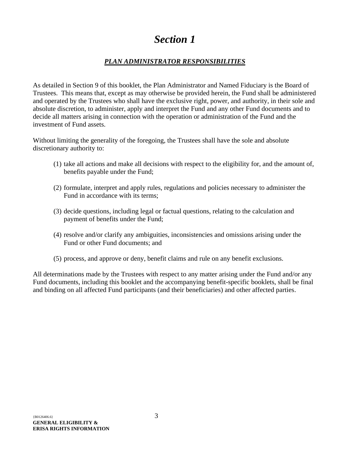## *Section 1*

#### *PLAN ADMINISTRATOR RESPONSIBILITIES*

<span id="page-5-1"></span><span id="page-5-0"></span>As detailed in Section 9 of this booklet, the Plan Administrator and Named Fiduciary is the Board of Trustees. This means that, except as may otherwise be provided herein, the Fund shall be administered and operated by the Trustees who shall have the exclusive right, power, and authority, in their sole and absolute discretion, to administer, apply and interpret the Fund and any other Fund documents and to decide all matters arising in connection with the operation or administration of the Fund and the investment of Fund assets.

Without limiting the generality of the foregoing, the Trustees shall have the sole and absolute discretionary authority to:

- (1) take all actions and make all decisions with respect to the eligibility for, and the amount of, benefits payable under the Fund;
- (2) formulate, interpret and apply rules, regulations and policies necessary to administer the Fund in accordance with its terms;
- (3) decide questions, including legal or factual questions, relating to the calculation and payment of benefits under the Fund;
- (4) resolve and/or clarify any ambiguities, inconsistencies and omissions arising under the Fund or other Fund documents; and
- (5) process, and approve or deny, benefit claims and rule on any benefit exclusions.

All determinations made by the Trustees with respect to any matter arising under the Fund and/or any Fund documents, including this booklet and the accompanying benefit-specific booklets, shall be final and binding on all affected Fund participants (and their beneficiaries) and other affected parties.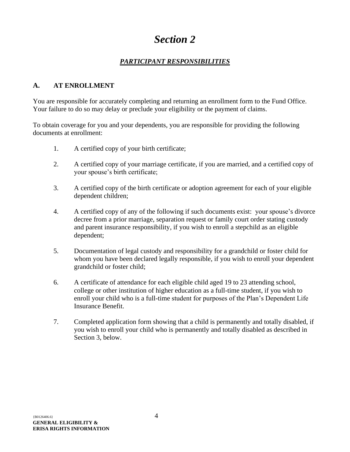## *Section 2*

#### *PARTICIPANT RESPONSIBILITIES*

#### <span id="page-6-2"></span><span id="page-6-1"></span><span id="page-6-0"></span>**A. AT ENROLLMENT**

You are responsible for accurately completing and returning an enrollment form to the Fund Office. Your failure to do so may delay or preclude your eligibility or the payment of claims.

To obtain coverage for you and your dependents, you are responsible for providing the following documents at enrollment:

- 1. A certified copy of your birth certificate;
- 2. A certified copy of your marriage certificate, if you are married, and a certified copy of your spouse's birth certificate;
- 3. A certified copy of the birth certificate or adoption agreement for each of your eligible dependent children;
- 4. A certified copy of any of the following if such documents exist: your spouse's divorce decree from a prior marriage, separation request or family court order stating custody and parent insurance responsibility, if you wish to enroll a stepchild as an eligible dependent;
- 5. Documentation of legal custody and responsibility for a grandchild or foster child for whom you have been declared legally responsible, if you wish to enroll your dependent grandchild or foster child;
- 6. A certificate of attendance for each eligible child aged 19 to 23 attending school, college or other institution of higher education as a full-time student, if you wish to enroll your child who is a full-time student for purposes of the Plan's Dependent Life Insurance Benefit.
- 7. Completed application form showing that a child is permanently and totally disabled, if you wish to enroll your child who is permanently and totally disabled as described in Section 3, below.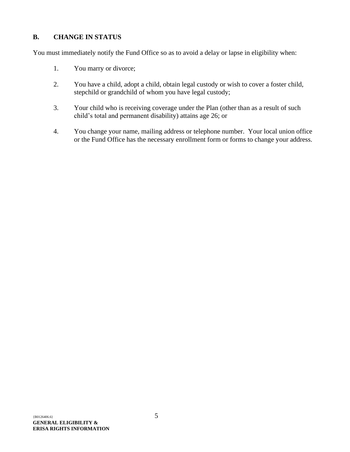#### <span id="page-7-0"></span>**B. CHANGE IN STATUS**

You must immediately notify the Fund Office so as to avoid a delay or lapse in eligibility when:

- 1. You marry or divorce;
- 2. You have a child, adopt a child, obtain legal custody or wish to cover a foster child, stepchild or grandchild of whom you have legal custody;
- 3. Your child who is receiving coverage under the Plan (other than as a result of such child's total and permanent disability) attains age 26; or
- 4. You change your name, mailing address or telephone number. Your local union office or the Fund Office has the necessary enrollment form or forms to change your address.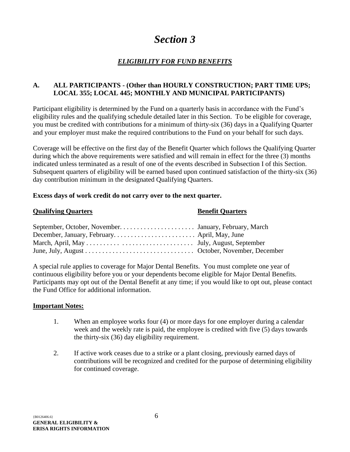## *Section 3*

#### *ELIGIBILITY FOR FUND BENEFITS*

#### <span id="page-8-2"></span><span id="page-8-1"></span><span id="page-8-0"></span>**A. ALL PARTICIPANTS - (Other than HOURLY CONSTRUCTION; PART TIME UPS; LOCAL 355; LOCAL 445; MONTHLY AND MUNICIPAL PARTICIPANTS)**

Participant eligibility is determined by the Fund on a quarterly basis in accordance with the Fund's eligibility rules and the qualifying schedule detailed later in this Section. To be eligible for coverage, you must be credited with contributions for a minimum of thirty-six (36) days in a Qualifying Quarter and your employer must make the required contributions to the Fund on your behalf for such days.

Coverage will be effective on the first day of the Benefit Quarter which follows the Qualifying Quarter during which the above requirements were satisfied and will remain in effect for the three (3) months indicated unless terminated as a result of one of the events described in Subsection I of this Section. Subsequent quarters of eligibility will be earned based upon continued satisfaction of the thirty-six (36) day contribution minimum in the designated Qualifying Quarters.

**Excess days of work credit do not carry over to the next quarter.**

#### **Qualifying Quarters Benefit Quarters**

A special rule applies to coverage for Major Dental Benefits. You must complete one year of continuous eligibility before you or your dependents become eligible for Major Dental Benefits. Participants may opt out of the Dental Benefit at any time; if you would like to opt out, please contact the Fund Office for additional information.

#### **Important Notes:**

- 1. When an employee works four (4) or more days for one employer during a calendar week and the weekly rate is paid, the employee is credited with five (5) days towards the thirty-six (36) day eligibility requirement.
- 2. If active work ceases due to a strike or a plant closing, previously earned days of contributions will be recognized and credited for the purpose of determining eligibility for continued coverage.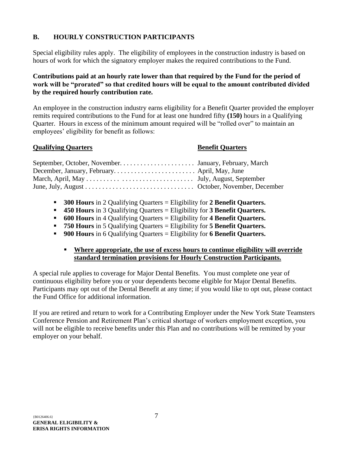#### <span id="page-9-0"></span>**B. HOURLY CONSTRUCTION PARTICIPANTS**

Special eligibility rules apply. The eligibility of employees in the construction industry is based on hours of work for which the signatory employer makes the required contributions to the Fund.

#### **Contributions paid at an hourly rate lower than that required by the Fund for the period of work will be "prorated" so that credited hours will be equal to the amount contributed divided by the required hourly contribution rate.**

An employee in the construction industry earns eligibility for a Benefit Quarter provided the employer remits required contributions to the Fund for at least one hundred fifty **(150)** hours in a Qualifying Quarter. Hours in excess of the minimum amount required will be "rolled over" to maintain an employees' eligibility for benefit as follows:

#### **Qualifying Quarters Benefit Quarters**

- **300 Hours** in 2 Qualifying Quarters = Eligibility for **2 Benefit Quarters.**
- **450 Hours** in 3 Qualifying Quarters = Eligibility for **3 Benefit Quarters.**
- **600 Hours** in 4 Qualifying Quarters = Eligibility for **4 Benefit Quarters.**
- **750 Hours** in 5 Qualifying Quarters = Eligibility for **5 Benefit Quarters.**
- **900 Hours** in 6 Qualifying Quarters = Eligibility for **6 Benefit Quarters.**

#### ▪ **Where appropriate, the use of excess hours to continue eligibility will override standard termination provisions for Hourly Construction Participants.**

A special rule applies to coverage for Major Dental Benefits. You must complete one year of continuous eligibility before you or your dependents become eligible for Major Dental Benefits. Participants may opt out of the Dental Benefit at any time; if you would like to opt out, please contact the Fund Office for additional information.

If you are retired and return to work for a Contributing Employer under the New York State Teamsters Conference Pension and Retirement Plan's critical shortage of workers employment exception, you will not be eligible to receive benefits under this Plan and no contributions will be remitted by your employer on your behalf.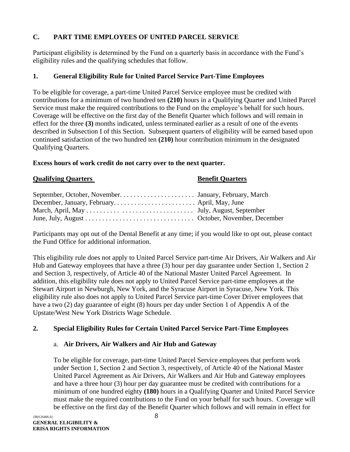#### <span id="page-10-0"></span>**C. PART TIME EMPLOYEES OF UNITED PARCEL SERVICE**

Participant eligibility is determined by the Fund on a quarterly basis in accordance with the Fund's eligibility rules and the qualifying schedules that follow.

#### **1. General Eligibility Rule for United Parcel Service Part-Time Employees**

To be eligible for coverage, a part-time United Parcel Service employee must be credited with contributions for a minimum of two hundred ten **(210)** hours in a Qualifying Quarter and United Parcel Service must make the required contributions to the Fund on the employee's behalf for such hours. Coverage will be effective on the first day of the Benefit Quarter which follows and will remain in effect for the three **(3)** months indicated, unless terminated earlier as a result of one of the events described in Subsection I of this Section. Subsequent quarters of eligibility will be earned based upon continued satisfaction of the two hundred ten **(210)** hour contribution minimum in the designated Qualifying Quarters.

#### **Excess hours of work credit do not carry over to the next quarter.**

#### **Qualifying Quarters Benefit Quarters**

Participants may opt out of the Dental Benefit at any time; if you would like to opt out, please contact the Fund Office for additional information.

This eligibility rule does not apply to United Parcel Service part-time Air Drivers, Air Walkers and Air Hub and Gateway employees that have a three (3) hour per day guarantee under Section 1, Section 2 and Section 3, respectively, of Article 40 of the National Master United Parcel Agreement. In addition, this eligibility rule does not apply to United Parcel Service part-time employees at the Stewart Airport in Newburgh, New York, and the Syracuse Airport in Syracuse, New York. This eligibility rule also does not apply to United Parcel Service part-time Cover Driver employees that have a two (2) day guarantee of eight (8) hours per day under Section 1 of Appendix A of the Upstate/West New York Districts Wage Schedule.

#### **2. Special Eligibility Rules for Certain United Parcel Service Part-Time Employees**

#### a. **Air Drivers, Air Walkers and Air Hub and Gateway**

To be eligible for coverage, part-time United Parcel Service employees that perform work under Section 1, Section 2 and Section 3, respectively, of Article 40 of the National Master United Parcel Agreement as Air Drivers, Air Walkers and Air Hub and Gateway employees and have a three hour (3) hour per day guarantee must be credited with contributions for a minimum of one hundred eighty **(180)** hours in a Qualifying Quarter and United Parcel Service must make the required contributions to the Fund on your behalf for such hours. Coverage will be effective on the first day of the Benefit Quarter which follows and will remain in effect for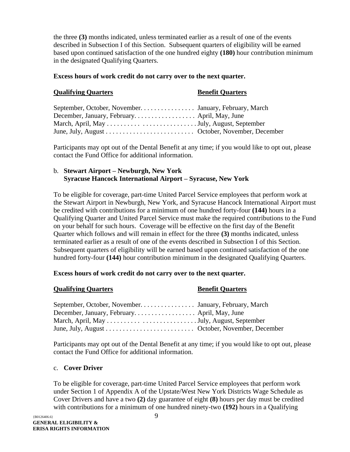the three **(3)** months indicated, unless terminated earlier as a result of one of the events described in Subsection I of this Section. Subsequent quarters of eligibility will be earned based upon continued satisfaction of the one hundred eighty **(180)** hour contribution minimum in the designated Qualifying Quarters.

#### **Excess hours of work credit do not carry over to the next quarter.**

#### **Qualifying Quarters Benefit Quarters**

| March, April, May July, August, September |  |
|-------------------------------------------|--|
|                                           |  |

Participants may opt out of the Dental Benefit at any time; if you would like to opt out, please contact the Fund Office for additional information.

#### b. **Stewart Airport – Newburgh, New York Syracuse Hancock International Airport – Syracuse, New York**

To be eligible for coverage, part-time United Parcel Service employees that perform work at the Stewart Airport in Newburgh, New York, and Syracuse Hancock International Airport must be credited with contributions for a minimum of one hundred forty-four **(144)** hours in a Qualifying Quarter and United Parcel Service must make the required contributions to the Fund on your behalf for such hours. Coverage will be effective on the first day of the Benefit Quarter which follows and will remain in effect for the three **(3)** months indicated, unless terminated earlier as a result of one of the events described in Subsection I of this Section. Subsequent quarters of eligibility will be earned based upon continued satisfaction of the one hundred forty-four **(144)** hour contribution minimum in the designated Qualifying Quarters.

#### **Excess hours of work credit do not carry over to the next quarter.**

### **Qualifying Quarters Benefit Quarters** September, October, November. . . . . . . . . . . . . . . . January, February, March December, January, February. . . . . . . . . . . . . . . . . . April, May, June March, April, May . . . . . . . . . . . . . . . . . . . . . . . . . . July, August, September June, July, August . . . . . . . . . . . . . . . . . . . . . . . . . . October, November, December

Participants may opt out of the Dental Benefit at any time; if you would like to opt out, please contact the Fund Office for additional information.

#### c. **Cover Driver**

To be eligible for coverage, part-time United Parcel Service employees that perform work under Section 1 of Appendix A of the Upstate/West New York Districts Wage Schedule as Cover Drivers and have a two **(2)** day guarantee of eight **(8)** hours per day must be credited with contributions for a minimum of one hundred ninety-two **(192)** hours in a Qualifying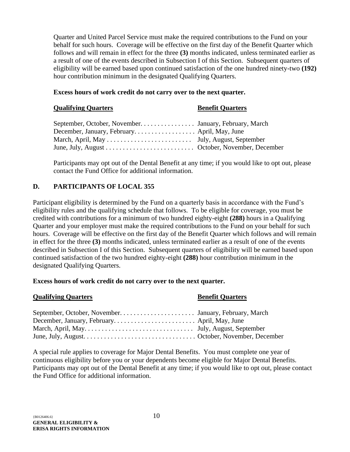Quarter and United Parcel Service must make the required contributions to the Fund on your behalf for such hours. Coverage will be effective on the first day of the Benefit Quarter which follows and will remain in effect for the three **(3)** months indicated, unless terminated earlier as a result of one of the events described in Subsection I of this Section. Subsequent quarters of eligibility will be earned based upon continued satisfaction of the one hundred ninety-two **(192)**  hour contribution minimum in the designated Qualifying Quarters.

#### **Excess hours of work credit do not carry over to the next quarter.**

#### **Qualifying Quarters Benefit Quarters**

Participants may opt out of the Dental Benefit at any time; if you would like to opt out, please contact the Fund Office for additional information.

#### <span id="page-12-0"></span>**D. PARTICIPANTS OF LOCAL 355**

Participant eligibility is determined by the Fund on a quarterly basis in accordance with the Fund's eligibility rules and the qualifying schedule that follows. To be eligible for coverage, you must be credited with contributions for a minimum of two hundred eighty-eight **(288)** hours in a Qualifying Quarter and your employer must make the required contributions to the Fund on your behalf for such hours. Coverage will be effective on the first day of the Benefit Quarter which follows and will remain in effect for the three **(3)** months indicated, unless terminated earlier as a result of one of the events described in Subsection I of this Section. Subsequent quarters of eligibility will be earned based upon continued satisfaction of the two hundred eighty-eight **(288)** hour contribution minimum in the designated Qualifying Quarters.

#### **Excess hours of work credit do not carry over to the next quarter.**

| <b>Qualifying Quarters</b> | <b>Benefit Quarters</b> |
|----------------------------|-------------------------|
|                            |                         |
|                            |                         |
|                            |                         |
|                            |                         |

A special rule applies to coverage for Major Dental Benefits. You must complete one year of continuous eligibility before you or your dependents become eligible for Major Dental Benefits. Participants may opt out of the Dental Benefit at any time; if you would like to opt out, please contact the Fund Office for additional information.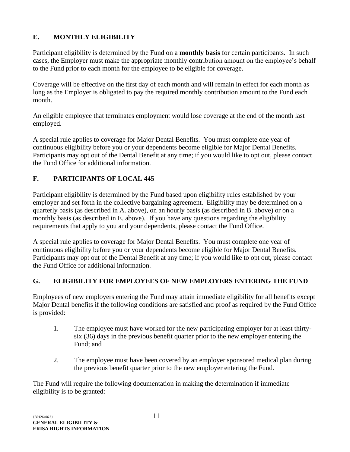#### <span id="page-13-0"></span>**E. MONTHLY ELIGIBILITY**

Participant eligibility is determined by the Fund on a **monthly basis** for certain participants. In such cases, the Employer must make the appropriate monthly contribution amount on the employee's behalf to the Fund prior to each month for the employee to be eligible for coverage.

Coverage will be effective on the first day of each month and will remain in effect for each month as long as the Employer is obligated to pay the required monthly contribution amount to the Fund each month.

An eligible employee that terminates employment would lose coverage at the end of the month last employed.

A special rule applies to coverage for Major Dental Benefits. You must complete one year of continuous eligibility before you or your dependents become eligible for Major Dental Benefits. Participants may opt out of the Dental Benefit at any time; if you would like to opt out, please contact the Fund Office for additional information.

#### <span id="page-13-1"></span>**F. PARTICIPANTS OF LOCAL 445**

Participant eligibility is determined by the Fund based upon eligibility rules established by your employer and set forth in the collective bargaining agreement. Eligibility may be determined on a quarterly basis (as described in A. above), on an hourly basis (as described in B. above) or on a monthly basis (as described in E. above). If you have any questions regarding the eligibility requirements that apply to you and your dependents, please contact the Fund Office.

A special rule applies to coverage for Major Dental Benefits. You must complete one year of continuous eligibility before you or your dependents become eligible for Major Dental Benefits. Participants may opt out of the Dental Benefit at any time; if you would like to opt out, please contact the Fund Office for additional information.

#### <span id="page-13-2"></span>**G. ELIGIBILITY FOR EMPLOYEES OF NEW EMPLOYERS ENTERING THE FUND**

Employees of new employers entering the Fund may attain immediate eligibility for all benefits except Major Dental benefits if the following conditions are satisfied and proof as required by the Fund Office is provided:

- 1. The employee must have worked for the new participating employer for at least thirtysix (36) days in the previous benefit quarter prior to the new employer entering the Fund; and
- 2. The employee must have been covered by an employer sponsored medical plan during the previous benefit quarter prior to the new employer entering the Fund.

The Fund will require the following documentation in making the determination if immediate eligibility is to be granted: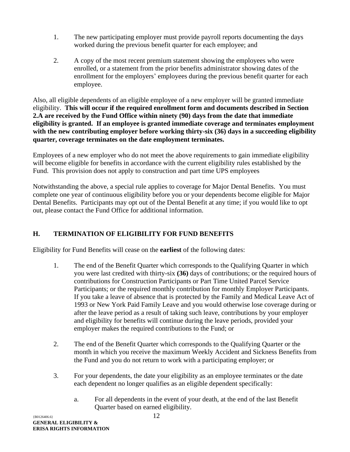- 1. The new participating employer must provide payroll reports documenting the days worked during the previous benefit quarter for each employee; and
- 2. A copy of the most recent premium statement showing the employees who were enrolled, or a statement from the prior benefits administrator showing dates of the enrollment for the employers' employees during the previous benefit quarter for each employee.

Also, all eligible dependents of an eligible employee of a new employer will be granted immediate eligibility. **This will occur if the required enrollment form and documents described in Section 2.A are received by the Fund Office within ninety (90) days from the date that immediate eligibility is granted. If an employee is granted immediate coverage and terminates employment with the new contributing employer before working thirty-six (36) days in a succeeding eligibility quarter, coverage terminates on the date employment terminates.**

Employees of a new employer who do not meet the above requirements to gain immediate eligibility will become eligible for benefits in accordance with the current eligibility rules established by the Fund. This provision does not apply to construction and part time UPS employees

Notwithstanding the above, a special rule applies to coverage for Major Dental Benefits. You must complete one year of continuous eligibility before you or your dependents become eligible for Major Dental Benefits. Participants may opt out of the Dental Benefit at any time; if you would like to opt out, please contact the Fund Office for additional information.

#### <span id="page-14-0"></span>**H. TERMINATION OF ELIGIBILITY FOR FUND BENEFITS**

Eligibility for Fund Benefits will cease on the **earliest** of the following dates:

- 1. The end of the Benefit Quarter which corresponds to the Qualifying Quarter in which you were last credited with thirty-six **(36)** days of contributions; or the required hours of contributions for Construction Participants or Part Time United Parcel Service Participants; or the required monthly contribution for monthly Employer Participants. If you take a leave of absence that is protected by the Family and Medical Leave Act of 1993 or New York Paid Family Leave and you would otherwise lose coverage during or after the leave period as a result of taking such leave, contributions by your employer and eligibility for benefits will continue during the leave periods, provided your employer makes the required contributions to the Fund; or
- 2. The end of the Benefit Quarter which corresponds to the Qualifying Quarter or the month in which you receive the maximum Weekly Accident and Sickness Benefits from the Fund and you do not return to work with a participating employer; or
- 3. For your dependents, the date your eligibility as an employee terminates or the date each dependent no longer qualifies as an eligible dependent specifically:
	- a. For all dependents in the event of your death, at the end of the last Benefit Quarter based on earned eligibility.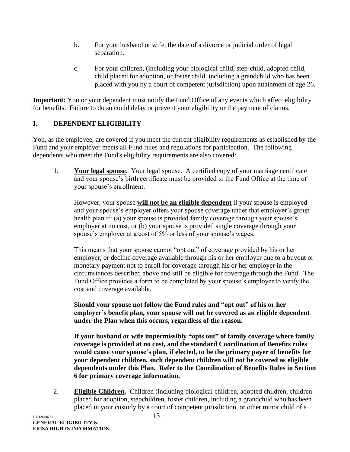- b. For your husband or wife, the date of a divorce or judicial order of legal separation.
- c. For your children, (including your biological child, step-child, adopted child, child placed for adoption, or foster child, including a grandchild who has been placed with you by a court of competent jurisdiction) upon attainment of age 26.

**Important:** You or your dependent must notify the Fund Office of any events which affect eligibility for benefits. Failure to do so could delay or prevent your eligibility or the payment of claims.

#### <span id="page-15-0"></span>**I. DEPENDENT ELIGIBILITY**

You, as the employee, are covered if you meet the current eligibility requirements as established by the Fund and your employer meets all Fund rules and regulations for participation. The following dependents who meet the Fund's eligibility requirements are also covered:

1. **Your legal spouse.** Your legal spouse. A certified copy of your marriage certificate and your spouse's birth certificate must be provided to the Fund Office at the time of your spouse's enrollment.

However, your spouse **will not be an eligible dependent** if your spouse is employed and your spouse's employer offers your spouse coverage under that employer's group health plan if: (a) your spouse is provided family coverage through your spouse's employer at no cost, or (b) your spouse is provided single coverage through your spouse's employer at a cost of 5% or less of your spouse's wages.

This means that your spouse cannot "opt out" of coverage provided by his or her employer, or decline coverage available through his or her employer due to a buyout or monetary payment not to enroll for coverage through his or her employer in the circumstances described above and still be eligible for coverage through the Fund. The Fund Office provides a form to be completed by your spouse's employer to verify the cost and coverage available.

**Should your spouse not follow the Fund rules and "opt out" of his or her employer's benefit plan, your spouse will not be covered as an eligible dependent under the Plan when this occurs, regardless of the reason.**

**If your husband or wife impermissibly "opts out" of family coverage where family coverage is provided at no cost, and the standard Coordination of Benefits rules would cause your spouse's plan, if elected, to be the primary payer of benefits for your dependent children, such dependent children will not be covered as eligible dependents under this Plan. Refer to the Coordination of Benefits Rules in Section 6 for primary coverage information.**

2. **Eligible Children.** Children (including biological children, adopted children, children placed for adoption, stepchildren, foster children, including a grandchild who has been placed in your custody by a court of competent jurisdiction, or other minor child of a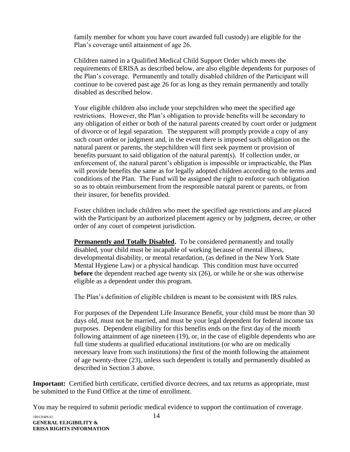family member for whom you have court awarded full custody) are eligible for the Plan's coverage until attainment of age 26.

Children named in a Qualified Medical Child Support Order which meets the requirements of ERISA as described below, are also eligible dependents for purposes of the Plan's coverage. Permanently and totally disabled children of the Participant will continue to be covered past age 26 for as long as they remain permanently and totally disabled as described below.

Your eligible children also include your stepchildren who meet the specified age restrictions. However, the Plan's obligation to provide benefits will be secondary to any obligation of either or both of the natural parents created by court order or judgment of divorce or of legal separation. The stepparent will promptly provide a copy of any such court order or judgment and, in the event there is imposed such obligation on the natural parent or parents, the stepchildren will first seek payment or provision of benefits pursuant to said obligation of the natural parent(s). If collection under, or enforcement of, the natural parent's obligation is impossible or impracticable, the Plan will provide benefits the same as for legally adopted children according to the terms and conditions of the Plan. The Fund will be assigned the right to enforce such obligation so as to obtain reimbursement from the responsible natural parent or parents, or from their insurer, for benefits provided.

Foster children include children who meet the specified age restrictions and are placed with the Participant by an authorized placement agency or by judgment, decree, or other order of any court of competent jurisdiction.

**Permanently and Totally Disabled.** To be considered permanently and totally disabled, your child must be incapable of working because of mental illness, developmental disability, or mental retardation, (as defined in the New York State Mental Hygiene Law) or a physical handicap. This condition must have occurred **before** the dependent reached age twenty six (26), or while he or she was otherwise eligible as a dependent under this program.

The Plan's definition of eligible children is meant to be consistent with IRS rules.

For purposes of the Dependent Life Insurance Benefit, your child must be more than 30 days old, must not be married, and must be your legal dependent for federal income tax purposes. Dependent eligibility for this benefits ends on the first day of the month following attainment of age nineteen (19), or, in the case of eligible dependents who are full time students at qualified educational institutions (or who are on medically necessary leave from such institutions) the first of the month following the attainment of age twenty-three (23), unless such dependent is totally and permanently disabled as described in Section 3 above.

**Important:** Certified birth certificate, certified divorce decrees, and tax returns as appropriate, must be submitted to the Fund Office at the time of enrollment.

You may be required to submit periodic medical evidence to support the continuation of coverage.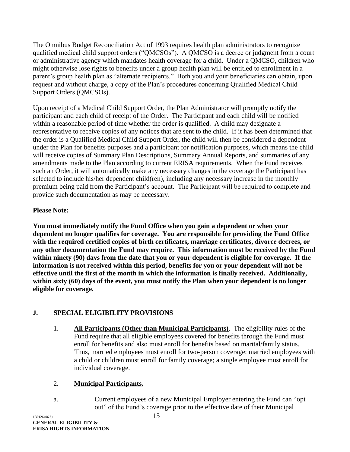The Omnibus Budget Reconciliation Act of 1993 requires health plan administrators to recognize qualified medical child support orders ("QMCSOs"). A QMCSO is a decree or judgment from a court or administrative agency which mandates health coverage for a child. Under a QMCSO, children who might otherwise lose rights to benefits under a group health plan will be entitled to enrollment in a parent's group health plan as "alternate recipients." Both you and your beneficiaries can obtain, upon request and without charge, a copy of the Plan's procedures concerning Qualified Medical Child Support Orders (QMCSOs).

Upon receipt of a Medical Child Support Order, the Plan Administrator will promptly notify the participant and each child of receipt of the Order. The Participant and each child will be notified within a reasonable period of time whether the order is qualified. A child may designate a representative to receive copies of any notices that are sent to the child. If it has been determined that the order is a Qualified Medical Child Support Order, the child will then be considered a dependent under the Plan for benefits purposes and a participant for notification purposes, which means the child will receive copies of Summary Plan Descriptions, Summary Annual Reports, and summaries of any amendments made to the Plan according to current ERISA requirements. When the Fund receives such an Order, it will automatically make any necessary changes in the coverage the Participant has selected to include his/her dependent child(ren), including any necessary increase in the monthly premium being paid from the Participant's account. The Participant will be required to complete and provide such documentation as may be necessary.

#### **Please Note:**

**You must immediately notify the Fund Office when you gain a dependent or when your dependent no longer qualifies for coverage. You are responsible for providing the Fund Office with the required certified copies of birth certificates, marriage certificates, divorce decrees, or any other documentation the Fund may require. This information must be received by the Fund within ninety (90) days from the date that you or your dependent is eligible for coverage. If the information is not received within this period, benefits for you or your dependent will not be effective until the first of the month in which the information is finally received. Additionally, within sixty (60) days of the event, you must notify the Plan when your dependent is no longer eligible for coverage.**

#### <span id="page-17-0"></span>**J. SPECIAL ELIGIBILITY PROVISIONS**

1. **All Participants (Other than Municipal Participants)**. The eligibility rules of the Fund require that all eligible employees covered for benefits through the Fund must enroll for benefits and also must enroll for benefits based on marital/family status. Thus, married employees must enroll for two-person coverage; married employees with a child or children must enroll for family coverage; a single employee must enroll for individual coverage.

#### 2. **Municipal Participants.**

a. Current employees of a new Municipal Employer entering the Fund can "opt out" of the Fund's coverage prior to the effective date of their Municipal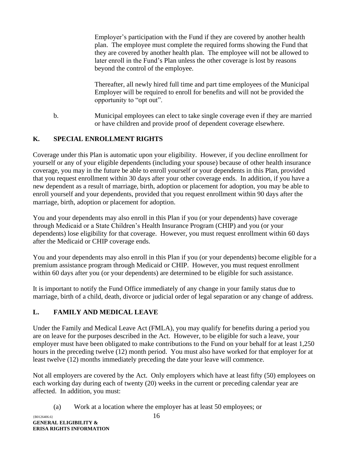Employer's participation with the Fund if they are covered by another health plan. The employee must complete the required forms showing the Fund that they are covered by another health plan. The employee will not be allowed to later enroll in the Fund's Plan unless the other coverage is lost by reasons beyond the control of the employee.

Thereafter, all newly hired full time and part time employees of the Municipal Employer will be required to enroll for benefits and will not be provided the opportunity to "opt out".

b. Municipal employees can elect to take single coverage even if they are married or have children and provide proof of dependent coverage elsewhere.

#### <span id="page-18-0"></span>**K. SPECIAL ENROLLMENT RIGHTS**

Coverage under this Plan is automatic upon your eligibility. However, if you decline enrollment for yourself or any of your eligible dependents (including your spouse) because of other health insurance coverage, you may in the future be able to enroll yourself or your dependents in this Plan, provided that you request enrollment within 30 days after your other coverage ends. In addition, if you have a new dependent as a result of marriage, birth, adoption or placement for adoption, you may be able to enroll yourself and your dependents, provided that you request enrollment within 90 days after the marriage, birth, adoption or placement for adoption.

You and your dependents may also enroll in this Plan if you (or your dependents) have coverage through Medicaid or a State Children's Health Insurance Program (CHIP) and you (or your dependents) lose eligibility for that coverage. However, you must request enrollment within 60 days after the Medicaid or CHIP coverage ends.

You and your dependents may also enroll in this Plan if you (or your dependents) become eligible for a premium assistance program through Medicaid or CHIP. However, you must request enrollment within 60 days after you (or your dependents) are determined to be eligible for such assistance.

It is important to notify the Fund Office immediately of any change in your family status due to marriage, birth of a child, death, divorce or judicial order of legal separation or any change of address.

### <span id="page-18-1"></span>**L. FAMILY AND MEDICAL LEAVE**

Under the Family and Medical Leave Act (FMLA), you may qualify for benefits during a period you are on leave for the purposes described in the Act. However, to be eligible for such a leave, your employer must have been obligated to make contributions to the Fund on your behalf for at least 1,250 hours in the preceding twelve (12) month period. You must also have worked for that employer for at least twelve (12) months immediately preceding the date your leave will commence.

Not all employers are covered by the Act. Only employers which have at least fifty (50) employees on each working day during each of twenty (20) weeks in the current or preceding calendar year are affected. In addition, you must:

(a) Work at a location where the employer has at least 50 employees; or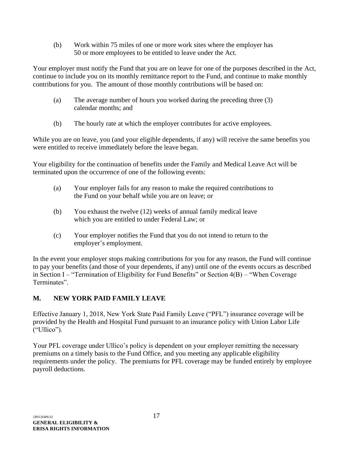(b) Work within 75 miles of one or more work sites where the employer has 50 or more employees to be entitled to leave under the Act.

Your employer must notify the Fund that you are on leave for one of the purposes described in the Act, continue to include you on its monthly remittance report to the Fund, and continue to make monthly contributions for you. The amount of those monthly contributions will be based on:

- (a) The average number of hours you worked during the preceding three (3) calendar months; and
- (b) The hourly rate at which the employer contributes for active employees.

While you are on leave, you (and your eligible dependents, if any) will receive the same benefits you were entitled to receive immediately before the leave began.

Your eligibility for the continuation of benefits under the Family and Medical Leave Act will be terminated upon the occurrence of one of the following events:

- (a) Your employer fails for any reason to make the required contributions to the Fund on your behalf while you are on leave; or
- (b) You exhaust the twelve (12) weeks of annual family medical leave which you are entitled to under Federal Law; or
- (c) Your employer notifies the Fund that you do not intend to return to the employer's employment.

In the event your employer stops making contributions for you for any reason, the Fund will continue to pay your benefits (and those of your dependents, if any) until one of the events occurs as described in Section I – "Termination of Eligibility for Fund Benefits" or Section 4(B) – "When Coverage Terminates".

### <span id="page-19-0"></span>**M. NEW YORK PAID FAMILY LEAVE**

Effective January 1, 2018, New York State Paid Family Leave ("PFL") insurance coverage will be provided by the Health and Hospital Fund pursuant to an insurance policy with Union Labor Life ("Ullico").

Your PFL coverage under Ullico's policy is dependent on your employer remitting the necessary premiums on a timely basis to the Fund Office, and you meeting any applicable eligibility requirements under the policy. The premiums for PFL coverage may be funded entirely by employee payroll deductions.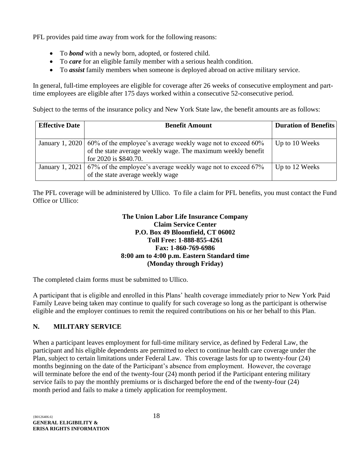PFL provides paid time away from work for the following reasons:

- To *bond* with a newly born, adopted, or fostered child.
- To *care* for an eligible family member with a serious health condition.
- To *assist* family members when someone is deployed abroad on active military service.

In general, full-time employees are eligible for coverage after 26 weeks of consecutive employment and parttime employees are eligible after 175 days worked within a consecutive 52-consecutive period.

Subject to the terms of the insurance policy and New York State law, the benefit amounts are as follows:

| <b>Effective Date</b> | <b>Benefit Amount</b>                                                                                                                                                        | <b>Duration of Benefits</b> |
|-----------------------|------------------------------------------------------------------------------------------------------------------------------------------------------------------------------|-----------------------------|
|                       | January 1, 2020 $\mid 60\%$ of the employee's average weekly wage not to exceed 60%<br>of the state average weekly wage. The maximum weekly benefit<br>for 2020 is \$840.70. | Up to 10 Weeks              |
|                       | January 1, 2021   $67\%$ of the employee's average weekly wage not to exceed $67\%$<br>of the state average weekly wage                                                      | Up to 12 Weeks              |

The PFL coverage will be administered by Ullico. To file a claim for PFL benefits, you must contact the Fund Office or Ullico:

#### **The Union Labor Life Insurance Company Claim Service Center P.O. Box 49 Bloomfield, CT 06002 Toll Free: 1-888-855-4261 Fax: 1-860-769-6986 8:00 am to 4:00 p.m. Eastern Standard time (Monday through Friday)**

The completed claim forms must be submitted to Ullico.

A participant that is eligible and enrolled in this Plans' health coverage immediately prior to New York Paid Family Leave being taken may continue to qualify for such coverage so long as the participant is otherwise eligible and the employer continues to remit the required contributions on his or her behalf to this Plan.

### <span id="page-20-0"></span>**N. MILITARY SERVICE**

When a participant leaves employment for full-time military service, as defined by Federal Law, the participant and his eligible dependents are permitted to elect to continue health care coverage under the Plan, subject to certain limitations under Federal Law. This coverage lasts for up to twenty-four (24) months beginning on the date of the Participant's absence from employment. However, the coverage will terminate before the end of the twenty-four (24) month period if the Participant entering military service fails to pay the monthly premiums or is discharged before the end of the twenty-four (24) month period and fails to make a timely application for reemployment.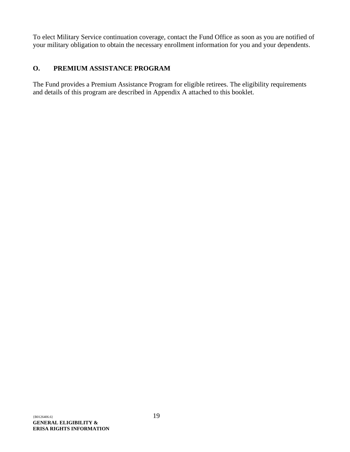To elect Military Service continuation coverage, contact the Fund Office as soon as you are notified of your military obligation to obtain the necessary enrollment information for you and your dependents.

#### <span id="page-21-0"></span>**O. PREMIUM ASSISTANCE PROGRAM**

The Fund provides a Premium Assistance Program for eligible retirees. The eligibility requirements and details of this program are described in Appendix A attached to this booklet.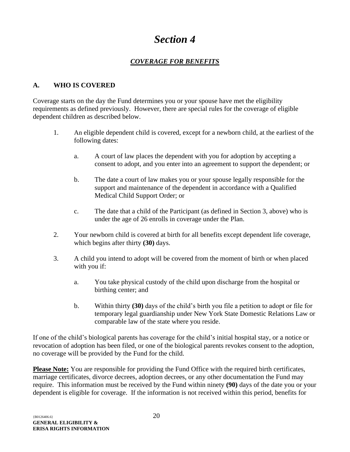## *Section 4*

#### *COVERAGE FOR BENEFITS*

#### <span id="page-22-2"></span><span id="page-22-1"></span><span id="page-22-0"></span>**A. WHO IS COVERED**

Coverage starts on the day the Fund determines you or your spouse have met the eligibility requirements as defined previously. However, there are special rules for the coverage of eligible dependent children as described below.

- 1. An eligible dependent child is covered, except for a newborn child, at the earliest of the following dates:
	- a. A court of law places the dependent with you for adoption by accepting a consent to adopt, and you enter into an agreement to support the dependent; or
	- b. The date a court of law makes you or your spouse legally responsible for the support and maintenance of the dependent in accordance with a Qualified Medical Child Support Order; or
	- c. The date that a child of the Participant (as defined in Section 3, above) who is under the age of 26 enrolls in coverage under the Plan.
- 2. Your newborn child is covered at birth for all benefits except dependent life coverage, which begins after thirty **(30)** days.
- 3. A child you intend to adopt will be covered from the moment of birth or when placed with you if:
	- a. You take physical custody of the child upon discharge from the hospital or birthing center; and
	- b. Within thirty **(30)** days of the child's birth you file a petition to adopt or file for temporary legal guardianship under New York State Domestic Relations Law or comparable law of the state where you reside.

If one of the child's biological parents has coverage for the child's initial hospital stay, or a notice or revocation of adoption has been filed, or one of the biological parents revokes consent to the adoption, no coverage will be provided by the Fund for the child.

**Please Note:** You are responsible for providing the Fund Office with the required birth certificates, marriage certificates, divorce decrees, adoption decrees, or any other documentation the Fund may require. This information must be received by the Fund within ninety **(90)** days of the date you or your dependent is eligible for coverage. If the information is not received within this period, benefits for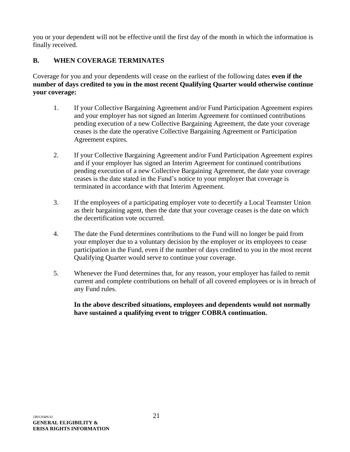you or your dependent will not be effective until the first day of the month in which the information is finally received.

#### <span id="page-23-0"></span>**B. WHEN COVERAGE TERMINATES**

Coverage for you and your dependents will cease on the earliest of the following dates **even if the number of days credited to you in the most recent Qualifying Quarter would otherwise continue your coverage:**

- 1. If your Collective Bargaining Agreement and/or Fund Participation Agreement expires and your employer has not signed an Interim Agreement for continued contributions pending execution of a new Collective Bargaining Agreement, the date your coverage ceases is the date the operative Collective Bargaining Agreement or Participation Agreement expires.
- 2. If your Collective Bargaining Agreement and/or Fund Participation Agreement expires and if your employer has signed an Interim Agreement for continued contributions pending execution of a new Collective Bargaining Agreement, the date your coverage ceases is the date stated in the Fund's notice to your employer that coverage is terminated in accordance with that Interim Agreement.
- 3. If the employees of a participating employer vote to decertify a Local Teamster Union as their bargaining agent, then the date that your coverage ceases is the date on which the decertification vote occurred.
- 4. The date the Fund determines contributions to the Fund will no longer be paid from your employer due to a voluntary decision by the employer or its employees to cease participation in the Fund, even if the number of days credited to you in the most recent Qualifying Quarter would serve to continue your coverage.
- 5. Whenever the Fund determines that, for any reason, your employer has failed to remit current and complete contributions on behalf of all covered employees or is in breach of any Fund rules.

**In the above described situations, employees and dependents would not normally have sustained a qualifying event to trigger COBRA continuation.**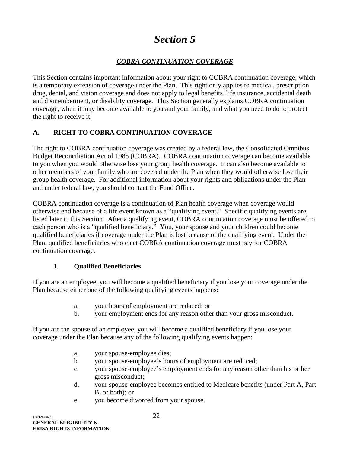## *Section 5*

#### *COBRA CONTINUATION COVERAGE*

<span id="page-24-1"></span><span id="page-24-0"></span>This Section contains important information about your right to COBRA continuation coverage, which is a temporary extension of coverage under the Plan. This right only applies to medical, prescription drug, dental, and vision coverage and does not apply to legal benefits, life insurance, accidental death and dismemberment, or disability coverage. This Section generally explains COBRA continuation coverage, when it may become available to you and your family, and what you need to do to protect the right to receive it.

#### <span id="page-24-2"></span>**A. RIGHT TO COBRA CONTINUATION COVERAGE**

The right to COBRA continuation coverage was created by a federal law, the Consolidated Omnibus Budget Reconciliation Act of 1985 (COBRA). COBRA continuation coverage can become available to you when you would otherwise lose your group health coverage. It can also become available to other members of your family who are covered under the Plan when they would otherwise lose their group health coverage. For additional information about your rights and obligations under the Plan and under federal law, you should contact the Fund Office.

COBRA continuation coverage is a continuation of Plan health coverage when coverage would otherwise end because of a life event known as a "qualifying event." Specific qualifying events are listed later in this Section. After a qualifying event, COBRA continuation coverage must be offered to each person who is a "qualified beneficiary." You, your spouse and your children could become qualified beneficiaries if coverage under the Plan is lost because of the qualifying event. Under the Plan, qualified beneficiaries who elect COBRA continuation coverage must pay for COBRA continuation coverage.

#### 1. **Qualified Beneficiaries**

If you are an employee, you will become a qualified beneficiary if you lose your coverage under the Plan because either one of the following qualifying events happens:

- a. your hours of employment are reduced; or
- b. your employment ends for any reason other than your gross misconduct.

If you are the spouse of an employee, you will become a qualified beneficiary if you lose your coverage under the Plan because any of the following qualifying events happen:

- a. your spouse-employee dies;
- b. your spouse-employee's hours of employment are reduced;
- c. your spouse-employee's employment ends for any reason other than his or her gross misconduct;
- d. your spouse-employee becomes entitled to Medicare benefits (under Part A, Part B, or both); or
- e. you become divorced from your spouse.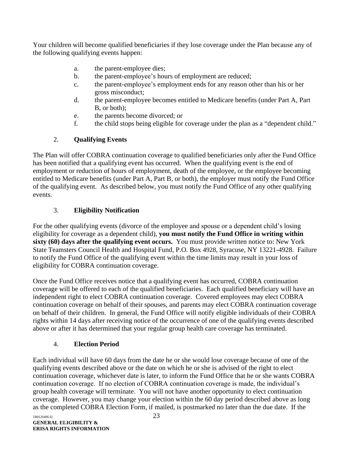Your children will become qualified beneficiaries if they lose coverage under the Plan because any of the following qualifying events happen:

- a. the parent-employee dies;
- b. the parent-employee's hours of employment are reduced;
- c. the parent-employee's employment ends for any reason other than his or her gross misconduct;
- d. the parent-employee becomes entitled to Medicare benefits (under Part A, Part B, or both);
- e. the parents become divorced; or
- f. the child stops being eligible for coverage under the plan as a "dependent child."

#### 2. **Qualifying Events**

The Plan will offer COBRA continuation coverage to qualified beneficiaries only after the Fund Office has been notified that a qualifying event has occurred. When the qualifying event is the end of employment or reduction of hours of employment, death of the employee, or the employee becoming entitled to Medicare benefits (under Part A, Part B, or both), the employer must notify the Fund Office of the qualifying event. As described below, you must notify the Fund Office of any other qualifying events.

#### 3. **Eligibility Notification**

For the other qualifying events (divorce of the employee and spouse or a dependent child's losing eligibility for coverage as a dependent child), **you must notify the Fund Office in writing within sixty (60) days after the qualifying event occurs.** You must provide written notice to: New York State Teamsters Council Health and Hospital Fund, P.O. Box 4928, Syracuse, NY 13221-4928. Failure to notify the Fund Office of the qualifying event within the time limits may result in your loss of eligibility for COBRA continuation coverage.

Once the Fund Office receives notice that a qualifying event has occurred, COBRA continuation coverage will be offered to each of the qualified beneficiaries. Each qualified beneficiary will have an independent right to elect COBRA continuation coverage. Covered employees may elect COBRA continuation coverage on behalf of their spouses, and parents may elect COBRA continuation coverage on behalf of their children. In general, the Fund Office will notify eligible individuals of their COBRA rights within 14 days after receiving notice of the occurrence of one of the qualifying events described above or after it has determined that your regular group health care coverage has terminated.

#### 4. **Election Period**

Each individual will have 60 days from the date he or she would lose coverage because of one of the qualifying events described above or the date on which he or she is advised of the right to elect continuation coverage, whichever date is later, to inform the Fund Office that he or she wants COBRA continuation coverage. If no election of COBRA continuation coverage is made, the individual's group health coverage will terminate. You will not have another opportunity to elect continuation coverage. However, you may change your election within the 60 day period described above as long as the completed COBRA Election Form, if mailed, is postmarked no later than the due date. If the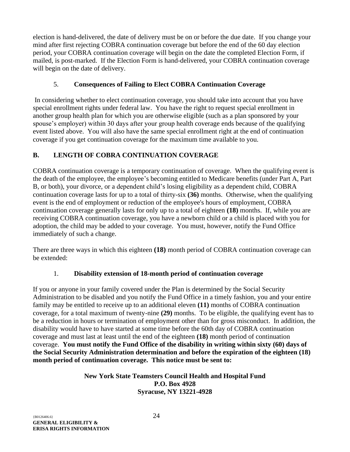election is hand-delivered, the date of delivery must be on or before the due date. If you change your mind after first rejecting COBRA continuation coverage but before the end of the 60 day election period, your COBRA continuation coverage will begin on the date the completed Election Form, if mailed, is post-marked. If the Election Form is hand-delivered, your COBRA continuation coverage will begin on the date of delivery.

#### 5. **Consequences of Failing to Elect COBRA Continuation Coverage**

In considering whether to elect continuation coverage, you should take into account that you have special enrollment rights under federal law. You have the right to request special enrollment in another group health plan for which you are otherwise eligible (such as a plan sponsored by your spouse's employer) within 30 days after your group health coverage ends because of the qualifying event listed above. You will also have the same special enrollment right at the end of continuation coverage if you get continuation coverage for the maximum time available to you.

#### <span id="page-26-0"></span>**B. LENGTH OF COBRA CONTINUATION COVERAGE**

COBRA continuation coverage is a temporary continuation of coverage. When the qualifying event is the death of the employee, the employee's becoming entitled to Medicare benefits (under Part A, Part B, or both), your divorce, or a dependent child's losing eligibility as a dependent child, COBRA continuation coverage lasts for up to a total of thirty-six **(36)** months. Otherwise, when the qualifying event is the end of employment or reduction of the employee's hours of employment, COBRA continuation coverage generally lasts for only up to a total of eighteen **(18)** months. If, while you are receiving COBRA continuation coverage, you have a newborn child or a child is placed with you for adoption, the child may be added to your coverage. You must, however, notify the Fund Office immediately of such a change.

There are three ways in which this eighteen **(18)** month period of COBRA continuation coverage can be extended:

#### 1. **Disability extension of 18-month period of continuation coverage**

If you or anyone in your family covered under the Plan is determined by the Social Security Administration to be disabled and you notify the Fund Office in a timely fashion, you and your entire family may be entitled to receive up to an additional eleven **(11)** months of COBRA continuation coverage, for a total maximum of twenty-nine **(29)** months. To be eligible, the qualifying event has to be a reduction in hours or termination of employment other than for gross misconduct. In addition, the disability would have to have started at some time before the 60th day of COBRA continuation coverage and must last at least until the end of the eighteen **(18)** month period of continuation coverage. **You must notify the Fund Office of the disability in writing within sixty (60) days of the Social Security Administration determination and before the expiration of the eighteen (18) month period of continuation coverage. This notice must be sent to:**

#### **New York State Teamsters Council Health and Hospital Fund P.O. Box 4928 Syracuse, NY 13221-4928**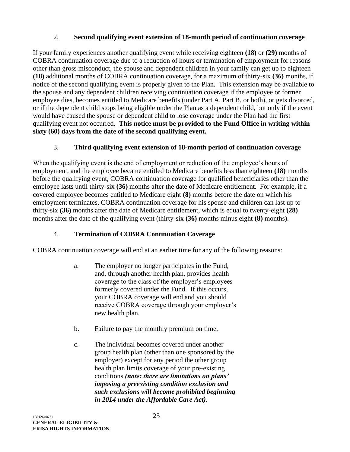#### 2. **Second qualifying event extension of 18-month period of continuation coverage**

If your family experiences another qualifying event while receiving eighteen **(18)** or **(29)** months of COBRA continuation coverage due to a reduction of hours or termination of employment for reasons other than gross misconduct, the spouse and dependent children in your family can get up to eighteen **(18)** additional months of COBRA continuation coverage, for a maximum of thirty-six **(36)** months, if notice of the second qualifying event is properly given to the Plan. This extension may be available to the spouse and any dependent children receiving continuation coverage if the employee or former employee dies, becomes entitled to Medicare benefits (under Part A, Part B, or both), or gets divorced, or if the dependent child stops being eligible under the Plan as a dependent child, but only if the event would have caused the spouse or dependent child to lose coverage under the Plan had the first qualifying event not occurred. **This notice must be provided to the Fund Office in writing within sixty (60) days from the date of the second qualifying event.**

#### 3. **Third qualifying event extension of 18-month period of continuation coverage**

When the qualifying event is the end of employment or reduction of the employee's hours of employment, and the employee became entitled to Medicare benefits less than eighteen **(18)** months before the qualifying event, COBRA continuation coverage for qualified beneficiaries other than the employee lasts until thirty-six **(36)** months after the date of Medicare entitlement. For example, if a covered employee becomes entitled to Medicare eight **(8)** months before the date on which his employment terminates, COBRA continuation coverage for his spouse and children can last up to thirty-six **(36)** months after the date of Medicare entitlement, which is equal to twenty-eight **(28)** months after the date of the qualifying event (thirty-six **(36)** months minus eight **(8)** months).

#### 4. **Termination of COBRA Continuation Coverage**

COBRA continuation coverage will end at an earlier time for any of the following reasons:

- a. The employer no longer participates in the Fund, and, through another health plan, provides health coverage to the class of the employer's employees formerly covered under the Fund. If this occurs, your COBRA coverage will end and you should receive COBRA coverage through your employer's new health plan.
- b. Failure to pay the monthly premium on time.
- c. The individual becomes covered under another group health plan (other than one sponsored by the employer) except for any period the other group health plan limits coverage of your pre-existing conditions *(note: there are limitations on plans' imposing a preexisting condition exclusion and such exclusions will become prohibited beginning in 2014 under the Affordable Care Act)*.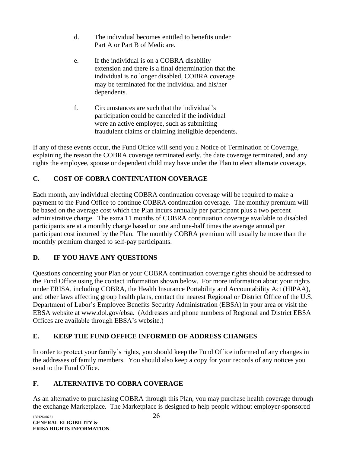- d. The individual becomes entitled to benefits under Part A or Part B of Medicare.
- e. If the individual is on a COBRA disability extension and there is a final determination that the individual is no longer disabled, COBRA coverage may be terminated for the individual and his/her dependents.
- f. Circumstances are such that the individual's participation could be canceled if the individual were an active employee, such as submitting fraudulent claims or claiming ineligible dependents.

If any of these events occur, the Fund Office will send you a Notice of Termination of Coverage, explaining the reason the COBRA coverage terminated early, the date coverage terminated, and any rights the employee, spouse or dependent child may have under the Plan to elect alternate coverage.

#### <span id="page-28-0"></span>**C. COST OF COBRA CONTINUATION COVERAGE**

Each month, any individual electing COBRA continuation coverage will be required to make a payment to the Fund Office to continue COBRA continuation coverage. The monthly premium will be based on the average cost which the Plan incurs annually per participant plus a two percent administrative charge. The extra 11 months of COBRA continuation coverage available to disabled participants are at a monthly charge based on one and one-half times the average annual per participant cost incurred by the Plan. The monthly COBRA premium will usually be more than the monthly premium charged to self-pay participants.

### <span id="page-28-1"></span>**D. IF YOU HAVE ANY QUESTIONS**

Questions concerning your Plan or your COBRA continuation coverage rights should be addressed to the Fund Office using the contact information shown below. For more information about your rights under ERISA, including COBRA, the Health Insurance Portability and Accountability Act (HIPAA), and other laws affecting group health plans, contact the nearest Regional or District Office of the U.S. Department of Labor's Employee Benefits Security Administration (EBSA) in your area or visit the EBSA website at www.dol.gov/ebsa. (Addresses and phone numbers of Regional and District EBSA Offices are available through EBSA's website.)

#### <span id="page-28-2"></span>**E. KEEP THE FUND OFFICE INFORMED OF ADDRESS CHANGES**

In order to protect your family's rights, you should keep the Fund Office informed of any changes in the addresses of family members. You should also keep a copy for your records of any notices you send to the Fund Office.

#### <span id="page-28-3"></span>**F. ALTERNATIVE TO COBRA COVERAGE**

As an alternative to purchasing COBRA through this Plan, you may purchase health coverage through the exchange Marketplace. The Marketplace is designed to help people without employer-sponsored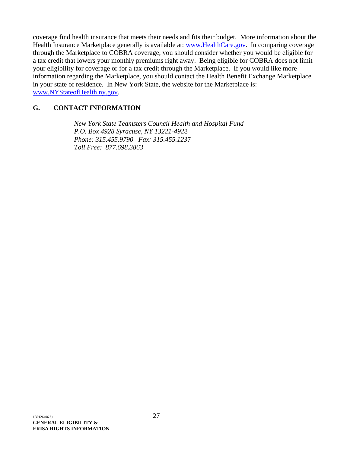coverage find health insurance that meets their needs and fits their budget. More information about the Health Insurance Marketplace generally is available at: [www.HealthCare.gov.](http://www.healthcare.gov/) In comparing coverage through the Marketplace to COBRA coverage, you should consider whether you would be eligible for a tax credit that lowers your monthly premiums right away. Being eligible for COBRA does not limit your eligibility for coverage or for a tax credit through the Marketplace. If you would like more information regarding the Marketplace, you should contact the Health Benefit Exchange Marketplace in your state of residence. In New York State, the website for the Marketplace is: [www.NYStateofHealth.ny.gov.](http://www.nystateofhealth.ny.gov/)

#### <span id="page-29-0"></span>**G. CONTACT INFORMATION**

*New York State Teamsters Council Health and Hospital Fund P.O. Box 4928 Syracuse, NY 13221-492*8 *Phone: 315.455.9790 Fax: 315.455.123*7 *Toll Free: 877.698.3863*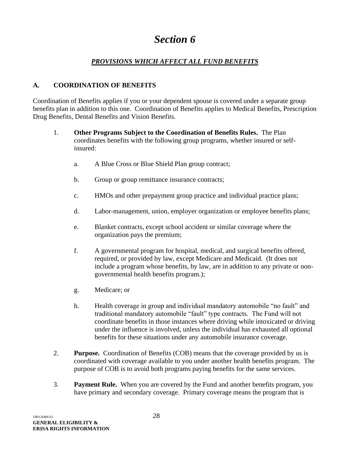## *Section 6*

#### *PROVISIONS WHICH AFFECT ALL FUND BENEFITS*

#### <span id="page-30-2"></span><span id="page-30-1"></span><span id="page-30-0"></span>**A. COORDINATION OF BENEFITS**

Coordination of Benefits applies if you or your dependent spouse is covered under a separate group benefits plan in addition to this one. Coordination of Benefits applies to Medical Benefits, Prescription Drug Benefits, Dental Benefits and Vision Benefits.

- 1. **Other Programs Subject to the Coordination of Benefits Rules.** The Plan coordinates benefits with the following group programs, whether insured or selfinsured:
	- a. A Blue Cross or Blue Shield Plan group contract;
	- b. Group or group remittance insurance contracts;
	- c. HMOs and other prepayment group practice and individual practice plans;
	- d. Labor-management, union, employer organization or employee benefits plans;
	- e. Blanket contracts, except school accident or similar coverage where the organization pays the premium;
	- f. A governmental program for hospital, medical, and surgical benefits offered, required, or provided by law, except Medicare and Medicaid. (It does not include a program whose benefits, by law, are in addition to any private or nongovernmental health benefits program.);
	- g. Medicare; or
	- h. Health coverage in group and individual mandatory automobile "no fault" and traditional mandatory automobile "fault" type contracts. The Fund will not coordinate benefits in those instances where driving while intoxicated or driving under the influence is involved, unless the individual has exhausted all optional benefits for these situations under any automobile insurance coverage.
- 2. **Purpose.** Coordination of Benefits (COB) means that the coverage provided by us is coordinated with coverage available to you under another health benefits program. The purpose of COB is to avoid both programs paying benefits for the same services.
- 3. **Payment Rule.** When you are covered by the Fund and another benefits program, you have primary and secondary coverage. Primary coverage means the program that is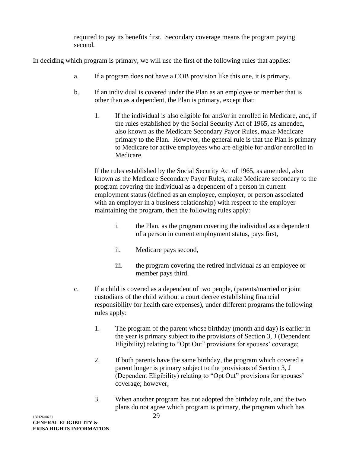required to pay its benefits first. Secondary coverage means the program paying second.

In deciding which program is primary, we will use the first of the following rules that applies:

- a. If a program does not have a COB provision like this one, it is primary.
- b. If an individual is covered under the Plan as an employee or member that is other than as a dependent, the Plan is primary, except that:
	- 1. If the individual is also eligible for and/or in enrolled in Medicare, and, if the rules established by the Social Security Act of 1965, as amended, also known as the Medicare Secondary Payor Rules, make Medicare primary to the Plan. However, the general rule is that the Plan is primary to Medicare for active employees who are eligible for and/or enrolled in Medicare.

If the rules established by the Social Security Act of 1965, as amended, also known as the Medicare Secondary Payor Rules, make Medicare secondary to the program covering the individual as a dependent of a person in current employment status (defined as an employee, employer, or person associated with an employer in a business relationship) with respect to the employer maintaining the program, then the following rules apply:

- i. the Plan, as the program covering the individual as a dependent of a person in current employment status, pays first,
- ii. Medicare pays second,
- iii. the program covering the retired individual as an employee or member pays third.
- c. If a child is covered as a dependent of two people, (parents/married or joint custodians of the child without a court decree establishing financial responsibility for health care expenses), under different programs the following rules apply:
	- 1. The program of the parent whose birthday (month and day) is earlier in the year is primary subject to the provisions of Section 3, J (Dependent Eligibility) relating to "Opt Out" provisions for spouses' coverage;
	- 2. If both parents have the same birthday, the program which covered a parent longer is primary subject to the provisions of Section 3, J (Dependent Eligibility) relating to "Opt Out" provisions for spouses' coverage; however,
	- 3. When another program has not adopted the birthday rule, and the two plans do not agree which program is primary, the program which has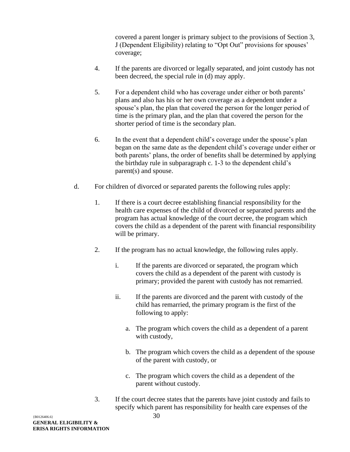covered a parent longer is primary subject to the provisions of Section 3, J (Dependent Eligibility) relating to "Opt Out" provisions for spouses' coverage;

- 4. If the parents are divorced or legally separated, and joint custody has not been decreed, the special rule in (d) may apply.
- 5. For a dependent child who has coverage under either or both parents' plans and also has his or her own coverage as a dependent under a spouse's plan, the plan that covered the person for the longer period of time is the primary plan, and the plan that covered the person for the shorter period of time is the secondary plan.
- 6. In the event that a dependent child's coverage under the spouse's plan began on the same date as the dependent child's coverage under either or both parents' plans, the order of benefits shall be determined by applying the birthday rule in subparagraph c. 1-3 to the dependent child's parent(s) and spouse.
- d. For children of divorced or separated parents the following rules apply:
	- 1. If there is a court decree establishing financial responsibility for the health care expenses of the child of divorced or separated parents and the program has actual knowledge of the court decree, the program which covers the child as a dependent of the parent with financial responsibility will be primary.
	- 2. If the program has no actual knowledge, the following rules apply.
		- i. If the parents are divorced or separated, the program which covers the child as a dependent of the parent with custody is primary; provided the parent with custody has not remarried.
		- ii. If the parents are divorced and the parent with custody of the child has remarried, the primary program is the first of the following to apply:
			- a. The program which covers the child as a dependent of a parent with custody,
			- b. The program which covers the child as a dependent of the spouse of the parent with custody, or
			- c. The program which covers the child as a dependent of the parent without custody.
	- 3. If the court decree states that the parents have joint custody and fails to specify which parent has responsibility for health care expenses of the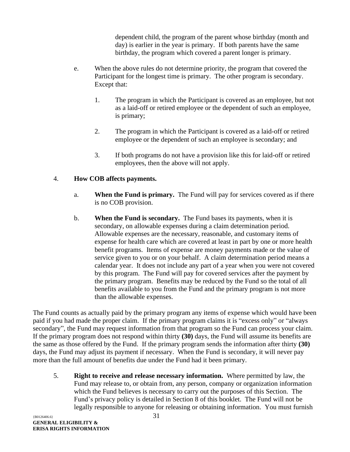dependent child, the program of the parent whose birthday (month and day) is earlier in the year is primary. If both parents have the same birthday, the program which covered a parent longer is primary.

- e. When the above rules do not determine priority, the program that covered the Participant for the longest time is primary. The other program is secondary. Except that:
	- 1. The program in which the Participant is covered as an employee, but not as a laid-off or retired employee or the dependent of such an employee, is primary;
	- 2. The program in which the Participant is covered as a laid-off or retired employee or the dependent of such an employee is secondary; and
	- 3. If both programs do not have a provision like this for laid-off or retired employees, then the above will not apply.

#### 4. **How COB affects payments.**

- a. **When the Fund is primary.** The Fund will pay for services covered as if there is no COB provision.
- b. **When the Fund is secondary.** The Fund bases its payments, when it is secondary, on allowable expenses during a claim determination period. Allowable expenses are the necessary, reasonable, and customary items of expense for health care which are covered at least in part by one or more health benefit programs. Items of expense are money payments made or the value of service given to you or on your behalf. A claim determination period means a calendar year. It does not include any part of a year when you were not covered by this program. The Fund will pay for covered services after the payment by the primary program. Benefits may be reduced by the Fund so the total of all benefits available to you from the Fund and the primary program is not more than the allowable expenses.

The Fund counts as actually paid by the primary program any items of expense which would have been paid if you had made the proper claim. If the primary program claims it is "excess only" or "always secondary", the Fund may request information from that program so the Fund can process your claim. If the primary program does not respond within thirty **(30)** days, the Fund will assume its benefits are the same as those offered by the Fund. If the primary program sends the information after thirty **(30)** days, the Fund may adjust its payment if necessary. When the Fund is secondary, it will never pay more than the full amount of benefits due under the Fund had it been primary.

5. **Right to receive and release necessary information.** Where permitted by law, the Fund may release to, or obtain from, any person, company or organization information which the Fund believes is necessary to carry out the purposes of this Section. The Fund's privacy policy is detailed in Section 8 of this booklet. The Fund will not be legally responsible to anyone for releasing or obtaining information. You must furnish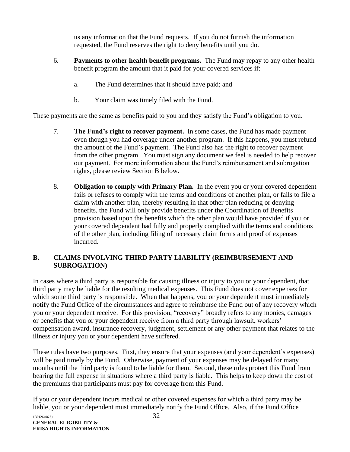us any information that the Fund requests. If you do not furnish the information requested, the Fund reserves the right to deny benefits until you do.

- 6. **Payments to other health benefit programs.** The Fund may repay to any other health benefit program the amount that it paid for your covered services if:
	- a. The Fund determines that it should have paid; and
	- b. Your claim was timely filed with the Fund.

These payments are the same as benefits paid to you and they satisfy the Fund's obligation to you.

- 7. **The Fund's right to recover payment.** In some cases, the Fund has made payment even though you had coverage under another program. If this happens, you must refund the amount of the Fund's payment. The Fund also has the right to recover payment from the other program. You must sign any document we feel is needed to help recover our payment. For more information about the Fund's reimbursement and subrogation rights, please review Section B below.
- 8. **Obligation to comply with Primary Plan.** In the event you or your covered dependent fails or refuses to comply with the terms and conditions of another plan, or fails to file a claim with another plan, thereby resulting in that other plan reducing or denying benefits, the Fund will only provide benefits under the Coordination of Benefits provision based upon the benefits which the other plan would have provided if you or your covered dependent had fully and properly complied with the terms and conditions of the other plan, including filing of necessary claim forms and proof of expenses incurred.

#### <span id="page-34-0"></span>**B. CLAIMS INVOLVING THIRD PARTY LIABILITY (REIMBURSEMENT AND SUBROGATION)**

In cases where a third party is responsible for causing illness or injury to you or your dependent, that third party may be liable for the resulting medical expenses. This Fund does not cover expenses for which some third party is responsible. When that happens, you or your dependent must immediately notify the Fund Office of the circumstances and agree to reimburse the Fund out of any recovery which you or your dependent receive. For this provision, "recovery" broadly refers to any monies, damages or benefits that you or your dependent receive from a third party through lawsuit, workers' compensation award, insurance recovery, judgment, settlement or any other payment that relates to the illness or injury you or your dependent have suffered.

These rules have two purposes. First, they ensure that your expenses (and your dependent's expenses) will be paid timely by the Fund. Otherwise, payment of your expenses may be delayed for many months until the third party is found to be liable for them. Second, these rules protect this Fund from bearing the full expense in situations where a third party is liable. This helps to keep down the cost of the premiums that participants must pay for coverage from this Fund.

If you or your dependent incurs medical or other covered expenses for which a third party may be liable, you or your dependent must immediately notify the Fund Office. Also, if the Fund Office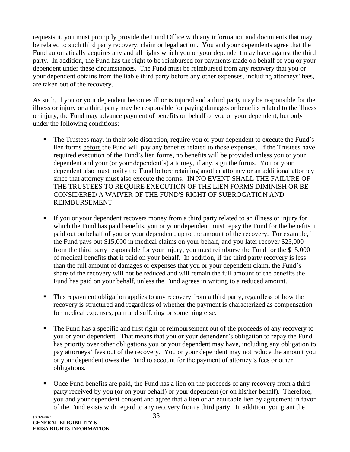requests it, you must promptly provide the Fund Office with any information and documents that may be related to such third party recovery, claim or legal action. You and your dependents agree that the Fund automatically acquires any and all rights which you or your dependent may have against the third party. In addition, the Fund has the right to be reimbursed for payments made on behalf of you or your dependent under these circumstances. The Fund must be reimbursed from any recovery that you or your dependent obtains from the liable third party before any other expenses, including attorneys' fees, are taken out of the recovery.

As such, if you or your dependent becomes ill or is injured and a third party may be responsible for the illness or injury or a third party may be responsible for paying damages or benefits related to the illness or injury, the Fund may advance payment of benefits on behalf of you or your dependent, but only under the following conditions:

- The Trustees may, in their sole discretion, require you or your dependent to execute the Fund's lien forms before the Fund will pay any benefits related to those expenses. If the Trustees have required execution of the Fund's lien forms, no benefits will be provided unless you or your dependent and your (or your dependent's) attorney, if any, sign the forms. You or your dependent also must notify the Fund before retaining another attorney or an additional attorney since that attorney must also execute the forms. IN NO EVENT SHALL THE FAILURE OF THE TRUSTEES TO REQUIRE EXECUTION OF THE LIEN FORMS DIMINISH OR BE CONSIDERED A WAIVER OF THE FUND'S RIGHT OF SUBROGATION AND REIMBURSEMENT.
- If you or your dependent recovers money from a third party related to an illness or injury for which the Fund has paid benefits, you or your dependent must repay the Fund for the benefits it paid out on behalf of you or your dependent, up to the amount of the recovery. For example, if the Fund pays out \$15,000 in medical claims on your behalf, and you later recover \$25,000 from the third party responsible for your injury, you must reimburse the Fund for the \$15,000 of medical benefits that it paid on your behalf. In addition, if the third party recovery is less than the full amount of damages or expenses that you or your dependent claim, the Fund's share of the recovery will not be reduced and will remain the full amount of the benefits the Fund has paid on your behalf, unless the Fund agrees in writing to a reduced amount.
- **...** This repayment obligation applies to any recovery from a third party, regardless of how the recovery is structured and regardless of whether the payment is characterized as compensation for medical expenses, pain and suffering or something else.
- The Fund has a specific and first right of reimbursement out of the proceeds of any recovery to you or your dependent. That means that you or your dependent's obligation to repay the Fund has priority over other obligations you or your dependent may have, including any obligation to pay attorneys' fees out of the recovery. You or your dependent may not reduce the amount you or your dependent owes the Fund to account for the payment of attorney's fees or other obligations.
- Once Fund benefits are paid, the Fund has a lien on the proceeds of any recovery from a third party received by you (or on your behalf) or your dependent (or on his/her behalf). Therefore, you and your dependent consent and agree that a lien or an equitable lien by agreement in favor of the Fund exists with regard to any recovery from a third party. In addition, you grant the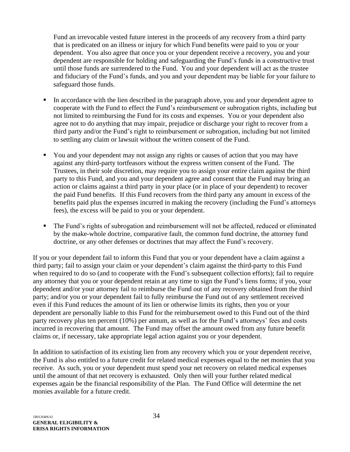Fund an irrevocable vested future interest in the proceeds of any recovery from a third party that is predicated on an illness or injury for which Fund benefits were paid to you or your dependent. You also agree that once you or your dependent receive a recovery, you and your dependent are responsible for holding and safeguarding the Fund's funds in a constructive trust until those funds are surrendered to the Fund. You and your dependent will act as the trustee and fiduciary of the Fund's funds, and you and your dependent may be liable for your failure to safeguard those funds.

- **•** In accordance with the lien described in the paragraph above, you and your dependent agree to cooperate with the Fund to effect the Fund's reimbursement or subrogation rights, including but not limited to reimbursing the Fund for its costs and expenses. You or your dependent also agree not to do anything that may impair, prejudice or discharge your right to recover from a third party and/or the Fund's right to reimbursement or subrogation, including but not limited to settling any claim or lawsuit without the written consent of the Fund.
- You and your dependent may not assign any rights or causes of action that you may have against any third-party tortfeasors without the express written consent of the Fund. The Trustees, in their sole discretion, may require you to assign your entire claim against the third party to this Fund, and you and your dependent agree and consent that the Fund may bring an action or claims against a third party in your place (or in place of your dependent) to recover the paid Fund benefits. If this Fund recovers from the third party any amount in excess of the benefits paid plus the expenses incurred in making the recovery (including the Fund's attorneys fees), the excess will be paid to you or your dependent.
- The Fund's rights of subrogation and reimbursement will not be affected, reduced or eliminated by the make-whole doctrine, comparative fault, the common fund doctrine, the attorney fund doctrine, or any other defenses or doctrines that may affect the Fund's recovery.

If you or your dependent fail to inform this Fund that you or your dependent have a claim against a third party; fail to assign your claim or your dependent's claim against the third-party to this Fund when required to do so (and to cooperate with the Fund's subsequent collection efforts); fail to require any attorney that you or your dependent retain at any time to sign the Fund's liens forms; if you, your dependent and/or your attorney fail to reimburse the Fund out of any recovery obtained from the third party; and/or you or your dependent fail to fully reimburse the Fund out of any settlement received even if this Fund reduces the amount of its lien or otherwise limits its rights, then you or your dependent are personally liable to this Fund for the reimbursement owed to this Fund out of the third party recovery plus ten percent (10%) per annum, as well as for the Fund's attorneys' fees and costs incurred in recovering that amount. The Fund may offset the amount owed from any future benefit claims or, if necessary, take appropriate legal action against you or your dependent.

In addition to satisfaction of its existing lien from any recovery which you or your dependent receive, the Fund is also entitled to a future credit for related medical expenses equal to the net monies that you receive. As such, you or your dependent must spend your net recovery on related medical expenses until the amount of that net recovery is exhausted. Only then will your further related medical expenses again be the financial responsibility of the Plan. The Fund Office will determine the net monies available for a future credit.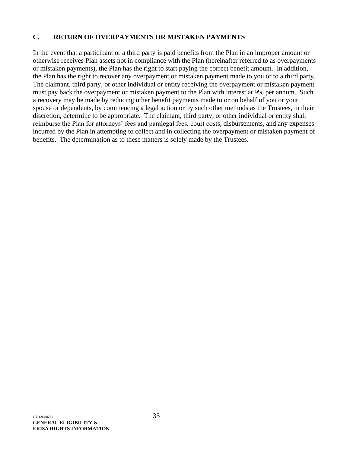#### <span id="page-37-0"></span>**C. RETURN OF OVERPAYMENTS OR MISTAKEN PAYMENTS**

In the event that a participant or a third party is paid benefits from the Plan in an improper amount or otherwise receives Plan assets not in compliance with the Plan (hereinafter referred to as overpayments or mistaken payments), the Plan has the right to start paying the correct benefit amount. In addition, the Plan has the right to recover any overpayment or mistaken payment made to you or to a third party. The claimant, third party, or other individual or entity receiving the overpayment or mistaken payment must pay back the overpayment or mistaken payment to the Plan with interest at 9% per annum. Such a recovery may be made by reducing other benefit payments made to or on behalf of you or your spouse or dependents, by commencing a legal action or by such other methods as the Trustees, in their discretion, determine to be appropriate. The claimant, third party, or other individual or entity shall reimburse the Plan for attorneys' fees and paralegal fees, court costs, disbursements, and any expenses incurred by the Plan in attempting to collect and in collecting the overpayment or mistaken payment of benefits. The determination as to these matters is solely made by the Trustees.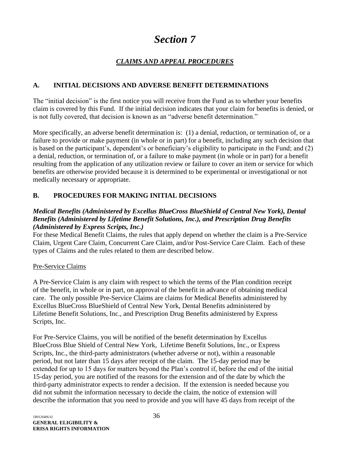## *Section 7*

#### *CLAIMS AND APPEAL PROCEDURES*

#### <span id="page-38-2"></span><span id="page-38-1"></span><span id="page-38-0"></span>**A. INITIAL DECISIONS AND ADVERSE BENEFIT DETERMINATIONS**

The "initial decision" is the first notice you will receive from the Fund as to whether your benefits claim is covered by this Fund. If the initial decision indicates that your claim for benefits is denied, or is not fully covered, that decision is known as an "adverse benefit determination."

More specifically, an adverse benefit determination is: (1) a denial, reduction, or termination of, or a failure to provide or make payment (in whole or in part) for a benefit, including any such decision that is based on the participant's, dependent's or beneficiary's eligibility to participate in the Fund; and (2) a denial, reduction, or termination of, or a failure to make payment (in whole or in part) for a benefit resulting from the application of any utilization review or failure to cover an item or service for which benefits are otherwise provided because it is determined to be experimental or investigational or not medically necessary or appropriate.

#### <span id="page-38-3"></span>**B. PROCEDURES FOR MAKING INITIAL DECISIONS**

#### *Medical Benefits (Administered by Excellus BlueCross BlueShield of Central New York), Dental Benefits (Administered by Lifetime Benefit Solutions, Inc.), and Prescription Drug Benefits (Administered by Express Scripts, Inc.)*

For these Medical Benefit Claims, the rules that apply depend on whether the claim is a Pre-Service Claim, Urgent Care Claim, Concurrent Care Claim, and/or Post-Service Care Claim. Each of these types of Claims and the rules related to them are described below.

#### Pre-Service Claims

A Pre-Service Claim is any claim with respect to which the terms of the Plan condition receipt of the benefit, in whole or in part, on approval of the benefit in advance of obtaining medical care. The only possible Pre-Service Claims are claims for Medical Benefits administered by Excellus BlueCross BlueShield of Central New York, Dental Benefits administered by Lifetime Benefit Solutions, Inc., and Prescription Drug Benefits administered by Express Scripts, Inc.

For Pre-Service Claims, you will be notified of the benefit determination by Excellus BlueCross Blue Shield of Central New York, Lifetime Benefit Solutions, Inc., or Express Scripts, Inc., the third-party administrators (whether adverse or not), within a reasonable period, but not later than 15 days after receipt of the claim. The 15-day period may be extended for up to 15 days for matters beyond the Plan's control if, before the end of the initial 15-day period, you are notified of the reasons for the extension and of the date by which the third-party administrator expects to render a decision. If the extension is needed because you did not submit the information necessary to decide the claim, the notice of extension will describe the information that you need to provide and you will have 45 days from receipt of the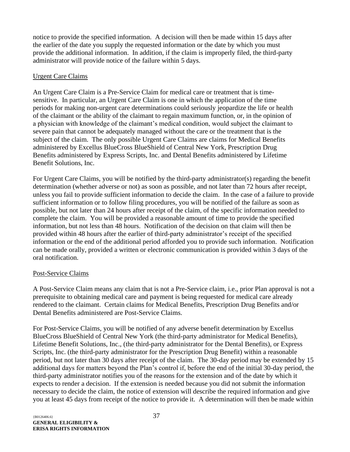notice to provide the specified information. A decision will then be made within 15 days after the earlier of the date you supply the requested information or the date by which you must provide the additional information. In addition, if the claim is improperly filed, the third-party administrator will provide notice of the failure within 5 days.

#### Urgent Care Claims

An Urgent Care Claim is a Pre-Service Claim for medical care or treatment that is timesensitive. In particular, an Urgent Care Claim is one in which the application of the time periods for making non-urgent care determinations could seriously jeopardize the life or health of the claimant or the ability of the claimant to regain maximum function, or, in the opinion of a physician with knowledge of the claimant's medical condition, would subject the claimant to severe pain that cannot be adequately managed without the care or the treatment that is the subject of the claim. The only possible Urgent Care Claims are claims for Medical Benefits administered by Excellus BlueCross BlueShield of Central New York, Prescription Drug Benefits administered by Express Scripts, Inc. and Dental Benefits administered by Lifetime Benefit Solutions, Inc.

For Urgent Care Claims, you will be notified by the third-party administrator(s) regarding the benefit determination (whether adverse or not) as soon as possible, and not later than 72 hours after receipt, unless you fail to provide sufficient information to decide the claim. In the case of a failure to provide sufficient information or to follow filing procedures, you will be notified of the failure as soon as possible, but not later than 24 hours after receipt of the claim, of the specific information needed to complete the claim. You will be provided a reasonable amount of time to provide the specified information, but not less than 48 hours. Notification of the decision on that claim will then be provided within 48 hours after the earlier of third-party administrator's receipt of the specified information or the end of the additional period afforded you to provide such information. Notification can be made orally, provided a written or electronic communication is provided within 3 days of the oral notification.

#### Post-Service Claims

A Post-Service Claim means any claim that is not a Pre-Service claim, i.e., prior Plan approval is not a prerequisite to obtaining medical care and payment is being requested for medical care already rendered to the claimant. Certain claims for Medical Benefits, Prescription Drug Benefits and/or Dental Benefits administered are Post-Service Claims.

For Post-Service Claims, you will be notified of any adverse benefit determination by Excellus BlueCross BlueShield of Central New York (the third-party administrator for Medical Benefits), Lifetime Benefit Solutions, Inc., (the third-party administrator for the Dental Benefits), or Express Scripts, Inc. (the third-party administrator for the Prescription Drug Benefit) within a reasonable period, but not later than 30 days after receipt of the claim. The 30-day period may be extended by 15 additional days for matters beyond the Plan's control if, before the end of the initial 30-day period, the third-party administrator notifies you of the reasons for the extension and of the date by which it expects to render a decision. If the extension is needed because you did not submit the information necessary to decide the claim, the notice of extension will describe the required information and give you at least 45 days from receipt of the notice to provide it. A determination will then be made within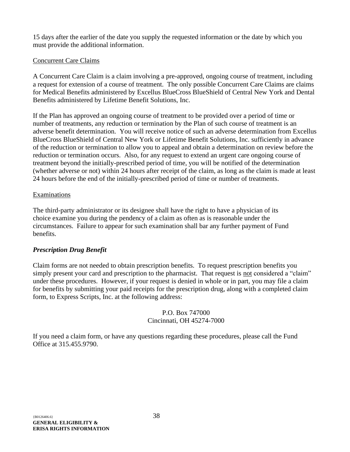15 days after the earlier of the date you supply the requested information or the date by which you must provide the additional information.

#### Concurrent Care Claims

A Concurrent Care Claim is a claim involving a pre-approved, ongoing course of treatment, including a request for extension of a course of treatment. The only possible Concurrent Care Claims are claims for Medical Benefits administered by Excellus BlueCross BlueShield of Central New York and Dental Benefits administered by Lifetime Benefit Solutions, Inc.

If the Plan has approved an ongoing course of treatment to be provided over a period of time or number of treatments, any reduction or termination by the Plan of such course of treatment is an adverse benefit determination. You will receive notice of such an adverse determination from Excellus BlueCross BlueShield of Central New York or Lifetime Benefit Solutions, Inc. sufficiently in advance of the reduction or termination to allow you to appeal and obtain a determination on review before the reduction or termination occurs. Also, for any request to extend an urgent care ongoing course of treatment beyond the initially-prescribed period of time, you will be notified of the determination (whether adverse or not) within 24 hours after receipt of the claim, as long as the claim is made at least 24 hours before the end of the initially-prescribed period of time or number of treatments.

#### Examinations

The third-party administrator or its designee shall have the right to have a physician of its choice examine you during the pendency of a claim as often as is reasonable under the circumstances. Failure to appear for such examination shall bar any further payment of Fund benefits.

#### *Prescription Drug Benefit*

Claim forms are not needed to obtain prescription benefits. To request prescription benefits you simply present your card and prescription to the pharmacist. That request is not considered a "claim" under these procedures. However, if your request is denied in whole or in part, you may file a claim for benefits by submitting your paid receipts for the prescription drug, along with a completed claim form, to Express Scripts, Inc. at the following address:

#### P.O. Box 747000 Cincinnati, OH 45274-7000

If you need a claim form, or have any questions regarding these procedures, please call the Fund Office at 315.455.9790.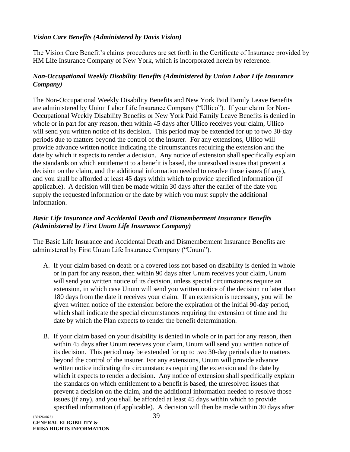#### *Vision Care Benefits (Administered by Davis Vision)*

The Vision Care Benefit's claims procedures are set forth in the Certificate of Insurance provided by HM Life Insurance Company of New York, which is incorporated herein by reference.

#### *Non-Occupational Weekly Disability Benefits (Administered by Union Labor Life Insurance Company)*

The Non-Occupational Weekly Disability Benefits and New York Paid Family Leave Benefits are administered by Union Labor Life Insurance Company ("Ullico"). If your claim for Non-Occupational Weekly Disability Benefits or New York Paid Family Leave Benefits is denied in whole or in part for any reason, then within 45 days after Ullico receives your claim, Ullico will send you written notice of its decision. This period may be extended for up to two 30-day periods due to matters beyond the control of the insurer. For any extensions, Ullico will provide advance written notice indicating the circumstances requiring the extension and the date by which it expects to render a decision. Any notice of extension shall specifically explain the standards on which entitlement to a benefit is based, the unresolved issues that prevent a decision on the claim, and the additional information needed to resolve those issues (if any), and you shall be afforded at least 45 days within which to provide specified information (if applicable). A decision will then be made within 30 days after the earlier of the date you supply the requested information or the date by which you must supply the additional information.

#### *Basic Life Insurance and Accidental Death and Dismemberment Insurance Benefits (Administered by First Unum Life Insurance Company)*

The Basic Life Insurance and Accidental Death and Dismemberment Insurance Benefits are administered by First Unum Life Insurance Company ("Unum").

- A. If your claim based on death or a covered loss not based on disability is denied in whole or in part for any reason, then within 90 days after Unum receives your claim, Unum will send you written notice of its decision, unless special circumstances require an extension, in which case Unum will send you written notice of the decision no later than 180 days from the date it receives your claim. If an extension is necessary, you will be given written notice of the extension before the expiration of the initial 90-day period, which shall indicate the special circumstances requiring the extension of time and the date by which the Plan expects to render the benefit determination.
- B. If your claim based on your disability is denied in whole or in part for any reason, then within 45 days after Unum receives your claim, Unum will send you written notice of its decision. This period may be extended for up to two 30-day periods due to matters beyond the control of the insurer. For any extensions, Unum will provide advance written notice indicating the circumstances requiring the extension and the date by which it expects to render a decision. Any notice of extension shall specifically explain the standards on which entitlement to a benefit is based, the unresolved issues that prevent a decision on the claim, and the additional information needed to resolve those issues (if any), and you shall be afforded at least 45 days within which to provide specified information (if applicable). A decision will then be made within 30 days after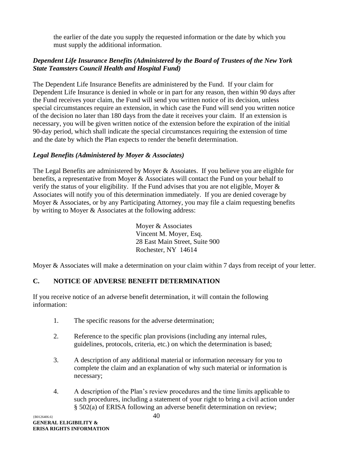the earlier of the date you supply the requested information or the date by which you must supply the additional information.

#### *Dependent Life Insurance Benefits (Administered by the Board of Trustees of the New York State Teamsters Council Health and Hospital Fund)*

The Dependent Life Insurance Benefits are administered by the Fund. If your claim for Dependent Life Insurance is denied in whole or in part for any reason, then within 90 days after the Fund receives your claim, the Fund will send you written notice of its decision, unless special circumstances require an extension, in which case the Fund will send you written notice of the decision no later than 180 days from the date it receives your claim. If an extension is necessary, you will be given written notice of the extension before the expiration of the initial 90-day period, which shall indicate the special circumstances requiring the extension of time and the date by which the Plan expects to render the benefit determination.

#### *Legal Benefits (Administered by Moyer & Associates)*

The Legal Benefits are administered by Moyer & Assoiates. If you believe you are eligible for benefits, a representative from Moyer & Associates will contact the Fund on your behalf to verify the status of your eligibility. If the Fund advises that you are not eligible, Moyer & Associates will notify you of this determination immediately. If you are denied coverage by Moyer & Associates, or by any Participating Attorney, you may file a claim requesting benefits by writing to Moyer & Associates at the following address:

> Moyer & Associates Vincent M. Moyer, Esq. 28 East Main Street, Suite 900 Rochester, NY 14614

Moyer & Associates will make a determination on your claim within 7 days from receipt of your letter.

#### <span id="page-42-0"></span>**C. NOTICE OF ADVERSE BENEFIT DETERMINATION**

If you receive notice of an adverse benefit determination, it will contain the following information:

- 1. The specific reasons for the adverse determination;
- 2. Reference to the specific plan provisions (including any internal rules, guidelines, protocols, criteria, etc.) on which the determination is based;
- 3. A description of any additional material or information necessary for you to complete the claim and an explanation of why such material or information is necessary;
- 4. A description of the Plan's review procedures and the time limits applicable to such procedures, including a statement of your right to bring a civil action under § 502(a) of ERISA following an adverse benefit determination on review;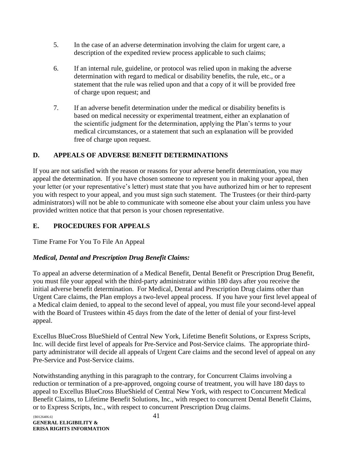- 5. In the case of an adverse determination involving the claim for urgent care, a description of the expedited review process applicable to such claims;
- 6. If an internal rule, guideline, or protocol was relied upon in making the adverse determination with regard to medical or disability benefits, the rule, etc., or a statement that the rule was relied upon and that a copy of it will be provided free of charge upon request; and
- 7. If an adverse benefit determination under the medical or disability benefits is based on medical necessity or experimental treatment, either an explanation of the scientific judgment for the determination, applying the Plan's terms to your medical circumstances, or a statement that such an explanation will be provided free of charge upon request.

#### <span id="page-43-0"></span>**D. APPEALS OF ADVERSE BENEFIT DETERMINATIONS**

If you are not satisfied with the reason or reasons for your adverse benefit determination, you may appeal the determination. If you have chosen someone to represent you in making your appeal, then your letter (or your representative's letter) must state that you have authorized him or her to represent you with respect to your appeal, and you must sign such statement. The Trustees (or their third-party administrators) will not be able to communicate with someone else about your claim unless you have provided written notice that that person is your chosen representative.

#### <span id="page-43-1"></span>**E. PROCEDURES FOR APPEALS**

Time Frame For You To File An Appeal

#### *Medical, Dental and Prescription Drug Benefit Claims:*

To appeal an adverse determination of a Medical Benefit, Dental Benefit or Prescription Drug Benefit, you must file your appeal with the third-party administrator within 180 days after you receive the initial adverse benefit determination. For Medical, Dental and Prescription Drug claims other than Urgent Care claims, the Plan employs a two-level appeal process. If you have your first level appeal of a Medical claim denied, to appeal to the second level of appeal, you must file your second-level appeal with the Board of Trustees within 45 days from the date of the letter of denial of your first-level appeal.

Excellus BlueCross BlueShield of Central New York, Lifetime Benefit Solutions, or Express Scripts, Inc. will decide first level of appeals for Pre-Service and Post-Service claims. The appropriate thirdparty administrator will decide all appeals of Urgent Care claims and the second level of appeal on any Pre-Service and Post-Service claims.

Notwithstanding anything in this paragraph to the contrary, for Concurrent Claims involving a reduction or termination of a pre-approved, ongoing course of treatment, you will have 180 days to appeal to Excellus BlueCross BlueShield of Central New York, with respect to Concurrent Medical Benefit Claims, to Lifetime Benefit Solutions, Inc., with respect to concurrent Dental Benefit Claims, or to Express Scripts, Inc., with respect to concurrent Prescription Drug claims.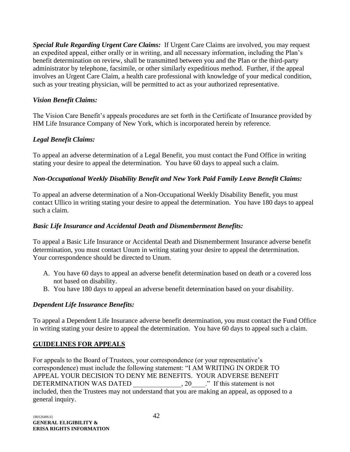*Special Rule Regarding Urgent Care Claims:* If Urgent Care Claims are involved, you may request an expedited appeal, either orally or in writing, and all necessary information, including the Plan's benefit determination on review, shall be transmitted between you and the Plan or the third-party administrator by telephone, facsimile, or other similarly expeditious method. Further, if the appeal involves an Urgent Care Claim, a health care professional with knowledge of your medical condition, such as your treating physician, will be permitted to act as your authorized representative.

#### *Vision Benefit Claims:*

The Vision Care Benefit's appeals procedures are set forth in the Certificate of Insurance provided by HM Life Insurance Company of New York, which is incorporated herein by reference.

#### *Legal Benefit Claims:*

To appeal an adverse determination of a Legal Benefit, you must contact the Fund Office in writing stating your desire to appeal the determination. You have 60 days to appeal such a claim.

#### *Non-Occupational Weekly Disability Benefit and New York Paid Family Leave Benefit Claims:*

To appeal an adverse determination of a Non-Occupational Weekly Disability Benefit, you must contact Ullico in writing stating your desire to appeal the determination. You have 180 days to appeal such a claim.

#### *Basic Life Insurance and Accidental Death and Dismemberment Benefits:*

To appeal a Basic Life Insurance or Accidental Death and Dismemberment Insurance adverse benefit determination, you must contact Unum in writing stating your desire to appeal the determination. Your correspondence should be directed to Unum.

- A. You have 60 days to appeal an adverse benefit determination based on death or a covered loss not based on disability.
- B. You have 180 days to appeal an adverse benefit determination based on your disability.

#### *Dependent Life Insurance Benefits:*

To appeal a Dependent Life Insurance adverse benefit determination, you must contact the Fund Office in writing stating your desire to appeal the determination. You have 60 days to appeal such a claim.

#### **GUIDELINES FOR APPEALS**

For appeals to the Board of Trustees, your correspondence (or your representative's correspondence) must include the following statement: "I AM WRITING IN ORDER TO APPEAL YOUR DECISION TO DENY ME BENEFITS. YOUR ADVERSE BENEFIT DETERMINATION WAS DATED \_\_\_\_\_\_\_\_\_\_\_\_, 20\_\_\_\_." If this statement is not included, then the Trustees may not understand that you are making an appeal, as opposed to a general inquiry.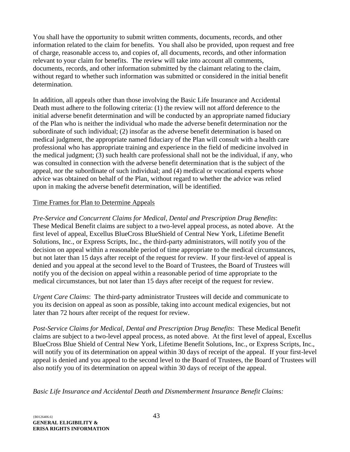You shall have the opportunity to submit written comments, documents, records, and other information related to the claim for benefits. You shall also be provided, upon request and free of charge, reasonable access to, and copies of, all documents, records, and other information relevant to your claim for benefits. The review will take into account all comments, documents, records, and other information submitted by the claimant relating to the claim, without regard to whether such information was submitted or considered in the initial benefit determination.

In addition, all appeals other than those involving the Basic Life Insurance and Accidental Death must adhere to the following criteria: (1) the review will not afford deference to the initial adverse benefit determination and will be conducted by an appropriate named fiduciary of the Plan who is neither the individual who made the adverse benefit determination nor the subordinate of such individual; (2) insofar as the adverse benefit determination is based on medical judgment, the appropriate named fiduciary of the Plan will consult with a health care professional who has appropriate training and experience in the field of medicine involved in the medical judgment; (3) such health care professional shall not be the individual, if any, who was consulted in connection with the adverse benefit determination that is the subject of the appeal, nor the subordinate of such individual; and (4) medical or vocational experts whose advice was obtained on behalf of the Plan, without regard to whether the advice was relied upon in making the adverse benefit determination, will be identified.

#### Time Frames for Plan to Determine Appeals

*Pre-Service and Concurrent Claims for Medical, Dental and Prescription Drug Benefits*: These Medical Benefit claims are subject to a two-level appeal process, as noted above. At the first level of appeal, Excellus BlueCross BlueShield of Central New York, Lifetime Benefit Solutions, Inc., or Express Scripts, Inc., the third-party administrators, will notify you of the decision on appeal within a reasonable period of time appropriate to the medical circumstances, but not later than 15 days after receipt of the request for review. If your first-level of appeal is denied and you appeal at the second level to the Board of Trustees, the Board of Trustees will notify you of the decision on appeal within a reasonable period of time appropriate to the medical circumstances, but not later than 15 days after receipt of the request for review.

*Urgent Care Claims*: The third-party administrator Trustees will decide and communicate to you its decision on appeal as soon as possible, taking into account medical exigencies, but not later than 72 hours after receipt of the request for review.

*Post-Service Claims for Medical, Dental and Prescription Drug Benefits*: These Medical Benefit claims are subject to a two-level appeal process, as noted above. At the first level of appeal, Excellus BlueCross Blue Shield of Central New York, Lifetime Benefit Solutions, Inc., or Express Scripts, Inc., will notify you of its determination on appeal within 30 days of receipt of the appeal. If your first-level appeal is denied and you appeal to the second level to the Board of Trustees, the Board of Trustees will also notify you of its determination on appeal within 30 days of receipt of the appeal.

*Basic Life Insurance and Accidental Death and Dismemberment Insurance Benefit Claims:*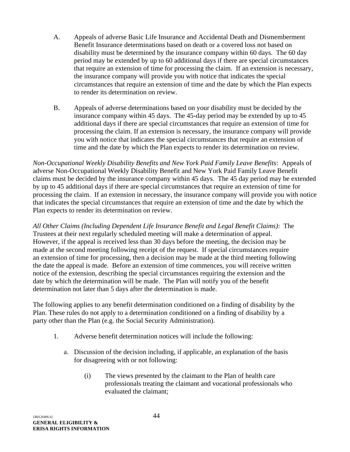- A. Appeals of adverse Basic Life Insurance and Accidental Death and Dismemberment Benefit Insurance determinations based on death or a covered loss not based on disability must be determined by the insurance company within 60 days. The 60 day period may be extended by up to 60 additional days if there are special circumstances that require an extension of time for processing the claim. If an extension is necessary, the insurance company will provide you with notice that indicates the special circumstances that require an extension of time and the date by which the Plan expects to render its determination on review.
- B. Appeals of adverse determinations based on your disability must be decided by the insurance company within 45 days. The 45-day period may be extended by up to 45 additional days if there are special circumstances that require an extension of time for processing the claim. If an extension is necessary, the insurance company will provide you with notice that indicates the special circumstances that require an extension of time and the date by which the Plan expects to render its determination on review.

*Non-Occupational Weekly Disability Benefits and New York Paid Family Leave Benefits*: Appeals of adverse Non-Occupational Weekly Disability Benefit and New York Paid Family Leave Benefit claims must be decided by the insurance company within 45 days. The 45 day period may be extended by up to 45 additional days if there are special circumstances that require an extension of time for processing the claim. If an extension in necessary, the insurance company will provide you with notice that indicates the special circumstances that require an extension of time and the date by which the Plan expects to render its determination on review.

*All Other Claims (Including Dependent Life Insurance Benefit and Legal Benefit Claims)*: The Trustees at their next regularly scheduled meeting will make a determination of appeal. However, if the appeal is received less than 30 days before the meeting, the decision may be made at the second meeting following receipt of the request. If special circumstances require an extension of time for processing, then a decision may be made at the third meeting following the date the appeal is made. Before an extension of time commences, you will receive written notice of the extension, describing the special circumstances requiring the extension and the date by which the determination will be made. The Plan will notify you of the benefit determination not later than 5 days after the determination is made.

The following applies to any benefit determination conditioned on a finding of disability by the Plan. These rules do not apply to a determination conditioned on a finding of disability by a party other than the Plan (e.g. the Social Security Administration).

- 1. Adverse benefit determination notices will include the following:
	- a. Discussion of the decision including, if applicable, an explanation of the basis for disagreeing with or not following:
		- (i) The views presented by the claimant to the Plan of health care professionals treating the claimant and vocational professionals who evaluated the claimant;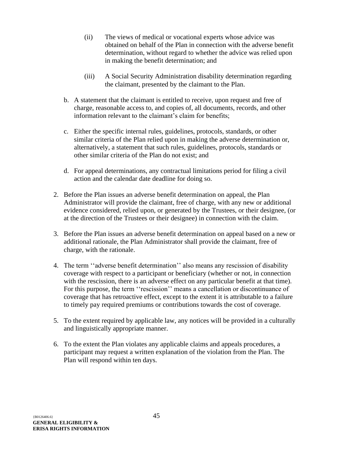- (ii) The views of medical or vocational experts whose advice was obtained on behalf of the Plan in connection with the adverse benefit determination, without regard to whether the advice was relied upon in making the benefit determination; and
- (iii) A Social Security Administration disability determination regarding the claimant, presented by the claimant to the Plan.
- b. A statement that the claimant is entitled to receive, upon request and free of charge, reasonable access to, and copies of, all documents, records, and other information relevant to the claimant's claim for benefits;
- c. Either the specific internal rules, guidelines, protocols, standards, or other similar criteria of the Plan relied upon in making the adverse determination or, alternatively, a statement that such rules, guidelines, protocols, standards or other similar criteria of the Plan do not exist; and
- d. For appeal determinations, any contractual limitations period for filing a civil action and the calendar date deadline for doing so.
- 2. Before the Plan issues an adverse benefit determination on appeal, the Plan Administrator will provide the claimant, free of charge, with any new or additional evidence considered, relied upon, or generated by the Trustees, or their designee, (or at the direction of the Trustees or their designee) in connection with the claim.
- 3. Before the Plan issues an adverse benefit determination on appeal based on a new or additional rationale, the Plan Administrator shall provide the claimant, free of charge, with the rationale.
- 4. The term ''adverse benefit determination'' also means any rescission of disability coverage with respect to a participant or beneficiary (whether or not, in connection with the rescission, there is an adverse effect on any particular benefit at that time). For this purpose, the term ''rescission'' means a cancellation or discontinuance of coverage that has retroactive effect, except to the extent it is attributable to a failure to timely pay required premiums or contributions towards the cost of coverage.
- 5. To the extent required by applicable law, any notices will be provided in a culturally and linguistically appropriate manner.
- 6. To the extent the Plan violates any applicable claims and appeals procedures, a participant may request a written explanation of the violation from the Plan. The Plan will respond within ten days.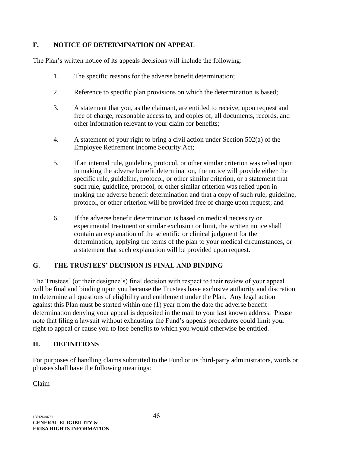#### <span id="page-48-0"></span>**F. NOTICE OF DETERMINATION ON APPEAL**

The Plan's written notice of its appeals decisions will include the following:

- 1. The specific reasons for the adverse benefit determination;
- 2. Reference to specific plan provisions on which the determination is based;
- 3. A statement that you, as the claimant, are entitled to receive, upon request and free of charge, reasonable access to, and copies of, all documents, records, and other information relevant to your claim for benefits;
- 4. A statement of your right to bring a civil action under Section 502(a) of the Employee Retirement Income Security Act;
- 5. If an internal rule, guideline, protocol, or other similar criterion was relied upon in making the adverse benefit determination, the notice will provide either the specific rule, guideline, protocol, or other similar criterion, or a statement that such rule, guideline, protocol, or other similar criterion was relied upon in making the adverse benefit determination and that a copy of such rule, guideline, protocol, or other criterion will be provided free of charge upon request; and
- 6. If the adverse benefit determination is based on medical necessity or experimental treatment or similar exclusion or limit, the written notice shall contain an explanation of the scientific or clinical judgment for the determination, applying the terms of the plan to your medical circumstances, or a statement that such explanation will be provided upon request.

#### <span id="page-48-1"></span>**G. THE TRUSTEES' DECISION IS FINAL AND BINDING**

The Trustees' (or their designee's) final decision with respect to their review of your appeal will be final and binding upon you because the Trustees have exclusive authority and discretion to determine all questions of eligibility and entitlement under the Plan. Any legal action against this Plan must be started within one (1) year from the date the adverse benefit determination denying your appeal is deposited in the mail to your last known address. Please note that filing a lawsuit without exhausting the Fund's appeals procedures could limit your right to appeal or cause you to lose benefits to which you would otherwise be entitled.

#### <span id="page-48-2"></span>**H. DEFINITIONS**

For purposes of handling claims submitted to the Fund or its third-party administrators, words or phrases shall have the following meanings:

Claim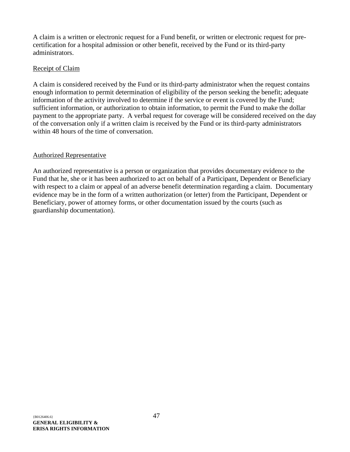A claim is a written or electronic request for a Fund benefit, or written or electronic request for precertification for a hospital admission or other benefit, received by the Fund or its third-party administrators.

#### Receipt of Claim

A claim is considered received by the Fund or its third-party administrator when the request contains enough information to permit determination of eligibility of the person seeking the benefit; adequate information of the activity involved to determine if the service or event is covered by the Fund; sufficient information, or authorization to obtain information, to permit the Fund to make the dollar payment to the appropriate party. A verbal request for coverage will be considered received on the day of the conversation only if a written claim is received by the Fund or its third-party administrators within 48 hours of the time of conversation.

#### Authorized Representative

An authorized representative is a person or organization that provides documentary evidence to the Fund that he, she or it has been authorized to act on behalf of a Participant, Dependent or Beneficiary with respect to a claim or appeal of an adverse benefit determination regarding a claim. Documentary evidence may be in the form of a written authorization (or letter) from the Participant, Dependent or Beneficiary, power of attorney forms, or other documentation issued by the courts (such as guardianship documentation).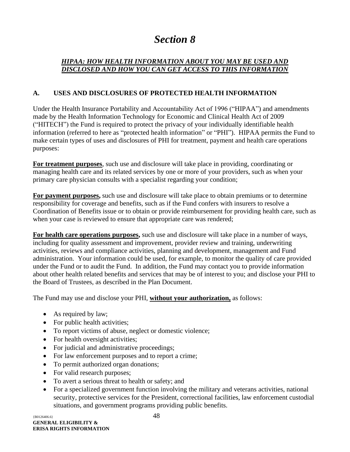## *Section 8*

#### <span id="page-50-1"></span><span id="page-50-0"></span>*HIPAA: HOW HEALTH INFORMATION ABOUT YOU MAY BE USED AND DISCLOSED AND HOW YOU CAN GET ACCESS TO THIS INFORMATION*

#### <span id="page-50-2"></span>**A. USES AND DISCLOSURES OF PROTECTED HEALTH INFORMATION**

Under the Health Insurance Portability and Accountability Act of 1996 ("HIPAA") and amendments made by the Health Information Technology for Economic and Clinical Health Act of 2009 ("HITECH") the Fund is required to protect the privacy of your individually identifiable health information (referred to here as "protected health information" or "PHI"). HIPAA permits the Fund to make certain types of uses and disclosures of PHI for treatment, payment and health care operations purposes:

**For treatment purposes**, such use and disclosure will take place in providing, coordinating or managing health care and its related services by one or more of your providers, such as when your primary care physician consults with a specialist regarding your condition;

**For payment purposes,** such use and disclosure will take place to obtain premiums or to determine responsibility for coverage and benefits, such as if the Fund confers with insurers to resolve a Coordination of Benefits issue or to obtain or provide reimbursement for providing health care, such as when your case is reviewed to ensure that appropriate care was rendered;

**For health care operations purposes,** such use and disclosure will take place in a number of ways, including for quality assessment and improvement, provider review and training, underwriting activities, reviews and compliance activities, planning and development, management and Fund administration. Your information could be used, for example, to monitor the quality of care provided under the Fund or to audit the Fund. In addition, the Fund may contact you to provide information about other health related benefits and services that may be of interest to you; and disclose your PHI to the Board of Trustees, as described in the Plan Document.

The Fund may use and disclose your PHI, **without your authorization,** as follows:

- As required by law;
- For public health activities;
- To report victims of abuse, neglect or domestic violence;
- For health oversight activities;
- For judicial and administrative proceedings;
- For law enforcement purposes and to report a crime;
- To permit authorized organ donations;
- For valid research purposes;
- To avert a serious threat to health or safety; and
- For a specialized government function involving the military and veterans activities, national security, protective services for the President, correctional facilities, law enforcement custodial situations, and government programs providing public benefits.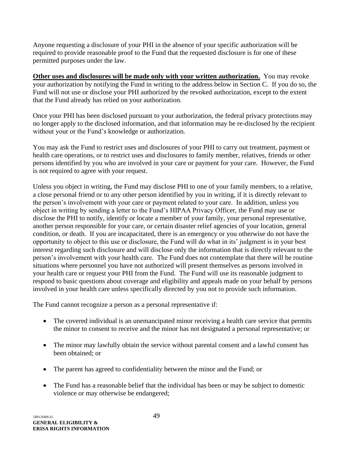Anyone requesting a disclosure of your PHI in the absence of your specific authorization will be required to provide reasonable proof to the Fund that the requested disclosure is for one of these permitted purposes under the law.

**Other uses and disclosures will be made only with your written authorization.** You may revoke your authorization by notifying the Fund in writing to the address below in Section C. If you do so, the Fund will not use or disclose your PHI authorized by the revoked authorization, except to the extent that the Fund already has relied on your authorization.

Once your PHI has been disclosed pursuant to your authorization, the federal privacy protections may no longer apply to the disclosed information, and that information may be re-disclosed by the recipient without your or the Fund's knowledge or authorization.

You may ask the Fund to restrict uses and disclosures of your PHI to carry out treatment, payment or health care operations, or to restrict uses and disclosures to family member, relatives, friends or other persons identified by you who are involved in your care or payment for your care. However, the Fund is not required to agree with your request.

Unless you object in writing, the Fund may disclose PHI to one of your family members, to a relative, a close personal friend or to any other person identified by you in writing, if it is directly relevant to the person's involvement with your care or payment related to your care. In addition, unless you object in writing by sending a letter to the Fund's HIPAA Privacy Officer, the Fund may use or disclose the PHI to notify, identify or locate a member of your family, your personal representative, another person responsible for your care, or certain disaster relief agencies of your location, general condition, or death. If you are incapacitated, there is an emergency or you otherwise do not have the opportunity to object to this use or disclosure, the Fund will do what in its' judgment is in your best interest regarding such disclosure and will disclose only the information that is directly relevant to the person's involvement with your health care. The Fund does not contemplate that there will be routine situations where personnel you have not authorized will present themselves as persons involved in your health care or request your PHI from the Fund. The Fund will use its reasonable judgment to respond to basic questions about coverage and eligibility and appeals made on your behalf by persons involved in your health care unless specifically directed by you not to provide such information.

The Fund cannot recognize a person as a personal representative if:

- The covered individual is an unemancipated minor receiving a health care service that permits the minor to consent to receive and the minor has not designated a personal representative; or
- The minor may lawfully obtain the service without parental consent and a lawful consent has been obtained; or
- The parent has agreed to confidentiality between the minor and the Fund; or
- The Fund has a reasonable belief that the individual has been or may be subject to domestic violence or may otherwise be endangered;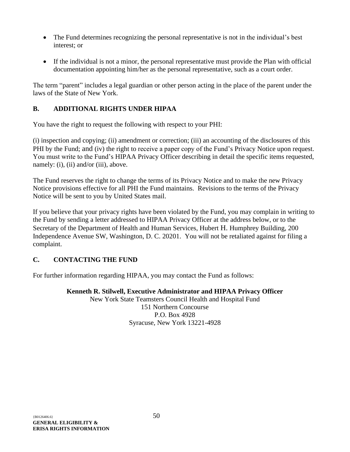- The Fund determines recognizing the personal representative is not in the individual's best interest; or
- If the individual is not a minor, the personal representative must provide the Plan with official documentation appointing him/her as the personal representative, such as a court order.

The term "parent" includes a legal guardian or other person acting in the place of the parent under the laws of the State of New York.

#### <span id="page-52-0"></span>**B. ADDITIONAL RIGHTS UNDER HIPAA**

You have the right to request the following with respect to your PHI:

(i) inspection and copying; (ii) amendment or correction; (iii) an accounting of the disclosures of this PHI by the Fund; and (iv) the right to receive a paper copy of the Fund's Privacy Notice upon request. You must write to the Fund's HIPAA Privacy Officer describing in detail the specific items requested, namely: (i), (ii) and/or (iii), above.

The Fund reserves the right to change the terms of its Privacy Notice and to make the new Privacy Notice provisions effective for all PHI the Fund maintains. Revisions to the terms of the Privacy Notice will be sent to you by United States mail.

If you believe that your privacy rights have been violated by the Fund, you may complain in writing to the Fund by sending a letter addressed to HIPAA Privacy Officer at the address below, or to the Secretary of the Department of Health and Human Services, Hubert H. Humphrey Building, 200 Independence Avenue SW, Washington, D. C. 20201. You will not be retaliated against for filing a complaint.

#### <span id="page-52-1"></span>**C. CONTACTING THE FUND**

For further information regarding HIPAA, you may contact the Fund as follows:

#### **Kenneth R. Stilwell, Executive Administrator and HIPAA Privacy Officer**

New York State Teamsters Council Health and Hospital Fund 151 Northern Concourse P.O. Box 4928 Syracuse, New York 13221-4928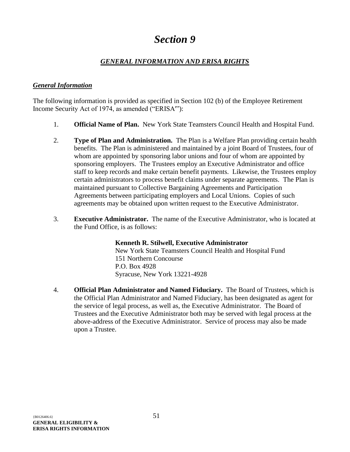## *Section 9*

#### *GENERAL INFORMATION AND ERISA RIGHTS*

#### <span id="page-53-1"></span><span id="page-53-0"></span>*General Information*

The following information is provided as specified in Section 102 (b) of the Employee Retirement Income Security Act of 1974, as amended ("ERISA'"):

- 1. **Official Name of Plan.** New York State Teamsters Council Health and Hospital Fund.
- 2. **Type of Plan and Administration.** The Plan is a Welfare Plan providing certain health benefits. The Plan is administered and maintained by a joint Board of Trustees, four of whom are appointed by sponsoring labor unions and four of whom are appointed by sponsoring employers. The Trustees employ an Executive Administrator and office staff to keep records and make certain benefit payments. Likewise, the Trustees employ certain administrators to process benefit claims under separate agreements. The Plan is maintained pursuant to Collective Bargaining Agreements and Participation Agreements between participating employers and Local Unions. Copies of such agreements may be obtained upon written request to the Executive Administrator.
- 3. **Executive Administrator.** The name of the Executive Administrator, who is located at the Fund Office, is as follows:

#### **Kenneth R. Stilwell, Executive Administrator**

New York State Teamsters Council Health and Hospital Fund 151 Northern Concourse P.O. Box 4928 Syracuse, New York 13221-4928

4. **Official Plan Administrator and Named Fiduciary.** The Board of Trustees, which is the Official Plan Administrator and Named Fiduciary, has been designated as agent for the service of legal process, as well as, the Executive Administrator. The Board of Trustees and the Executive Administrator both may be served with legal process at the above-address of the Executive Administrator. Service of process may also be made upon a Trustee.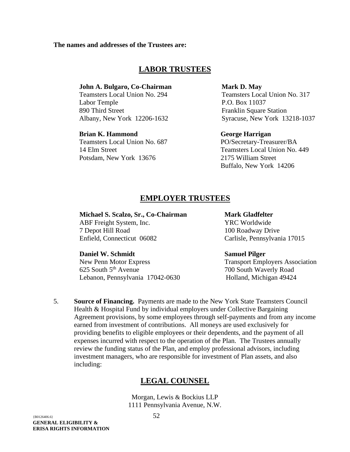#### **The names and addresses of the Trustees are:**

#### **LABOR TRUSTEES**

#### **John A. Bulgaro, Co-Chairman**

Teamsters Local Union No. 294 Labor Temple 890 Third Street Albany, New York 12206-1632

#### **Brian K. Hammond**

Teamsters Local Union No. 687 14 Elm Street Potsdam, New York 13676

#### **Mark D. May**

Teamsters Local Union No. 317 P.O. Box 11037 Franklin Square Station Syracuse, New York 13218-1037

#### **George Harrigan**

PO/Secretary-Treasurer/BA Teamsters Local Union No. 449 2175 William Street Buffalo, New York 14206

#### **EMPLOYER TRUSTEES**

#### **Michael S. Scalzo, Sr., Co-Chairman**

ABF Freight System, Inc. 7 Depot Hill Road Enfield, Connecticut 06082

#### **Daniel W. Schmidt** New Penn Motor Express 625 South  $5<sup>th</sup>$  Avenue Lebanon, Pennsylvania 17042-0630

**Mark Gladfelter** YRC Worldwide 100 Roadway Drive Carlisle, Pennsylvania 17015

#### **Samuel Pilger**

Transport Employers Association 700 South Waverly Road Holland, Michigan 49424

5. **Source of Financing.** Payments are made to the New York State Teamsters Council Health & Hospital Fund by individual employers under Collective Bargaining Agreement provisions, by some employees through self-payments and from any income earned from investment of contributions. All moneys are used exclusively for providing benefits to eligible employees or their dependents, and the payment of all expenses incurred with respect to the operation of the Plan. The Trustees annually review the funding status of the Plan, and employ professional advisors, including investment managers, who are responsible for investment of Plan assets, and also including:

#### **LEGAL COUNSEL**

Morgan, Lewis & Bockius LLP 1111 Pennsylvania Avenue, N.W.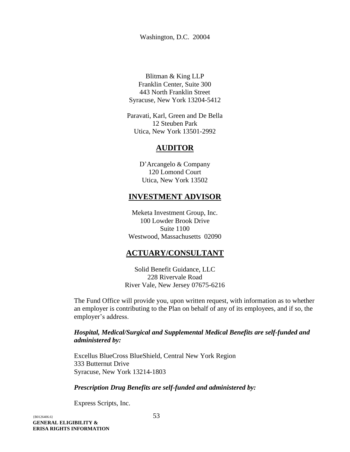Washington, D.C. 20004

Blitman & King LLP Franklin Center, Suite 300 443 North Franklin Street Syracuse, New York 13204-5412

Paravati, Karl, Green and De Bella 12 Steuben Park Utica, New York 13501-2992

#### **AUDITOR**

D'Arcangelo & Company 120 Lomond Court Utica, New York 13502

#### **INVESTMENT ADVISOR**

Meketa Investment Group, Inc. 100 Lowder Brook Drive Suite 1100 Westwood, Massachusetts 02090

#### **ACTUARY/CONSULTANT**

Solid Benefit Guidance, LLC 228 Rivervale Road River Vale, New Jersey 07675-6216

The Fund Office will provide you, upon written request, with information as to whether an employer is contributing to the Plan on behalf of any of its employees, and if so, the employer's address.

#### *Hospital, Medical/Surgical and Supplemental Medical Benefits are self-funded and administered by:*

Excellus BlueCross BlueShield, Central New York Region 333 Butternut Drive Syracuse, New York 13214-1803

#### *Prescription Drug Benefits are self-funded and administered by:*

Express Scripts, Inc.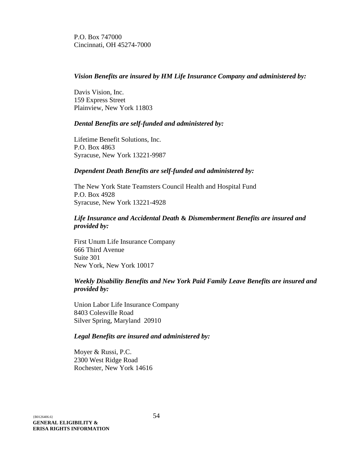P.O. Box 747000 Cincinnati, OH 45274-7000

#### *Vision Benefits are insured by HM Life Insurance Company and administered by:*

Davis Vision, Inc. 159 Express Street Plainview, New York 11803

#### *Dental Benefits are self-funded and administered by:*

Lifetime Benefit Solutions, Inc. P.O. Box 4863 Syracuse, New York 13221-9987

#### *Dependent Death Benefits are self-funded and administered by:*

The New York State Teamsters Council Health and Hospital Fund P.O. Box 4928 Syracuse, New York 13221-4928

#### *Life Insurance and Accidental Death* **&** *Dismemberment Benefits are insured and provided by:*

First Unum Life Insurance Company 666 Third Avenue Suite 301 New York, New York 10017

#### *Weekly Disability Benefits and New York Paid Family Leave Benefits are insured and provided by:*

Union Labor Life Insurance Company 8403 Colesville Road Silver Spring, Maryland 20910

#### *Legal Benefits are insured and administered by:*

Moyer & Russi, P.C. 2300 West Ridge Road Rochester, New York 14616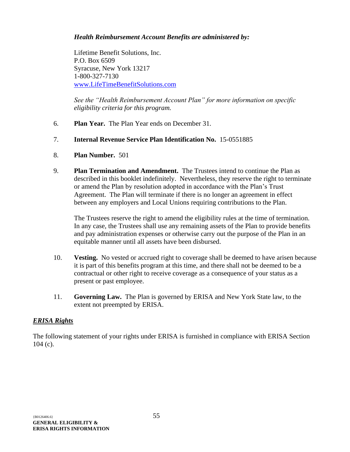#### *Health Reimbursement Account Benefits are administered by:*

Lifetime Benefit Solutions, Inc. P.O. Box 6509 Syracuse, New York 13217 1-800-327-7130 [www.LifeTimeBenefitSolutions.com](http://www.lifetimebenefitsolutions.com/)

*See the "Health Reimbursement Account Plan" for more information on specific eligibility criteria for this program.*

6. **Plan Year.** The Plan Year ends on December 31.

#### 7. **Internal Revenue Service Plan Identification No.** 15-0551885

- 8. **Plan Number.** 501
- 9. **Plan Termination and Amendment.** The Trustees intend to continue the Plan as described in this booklet indefinitely. Nevertheless, they reserve the right to terminate or amend the Plan by resolution adopted in accordance with the Plan's Trust Agreement. The Plan will terminate if there is no longer an agreement in effect between any employers and Local Unions requiring contributions to the Plan.

The Trustees reserve the right to amend the eligibility rules at the time of termination. In any case, the Trustees shall use any remaining assets of the Plan to provide benefits and pay administration expenses or otherwise carry out the purpose of the Plan in an equitable manner until all assets have been disbursed.

- 10. **Vesting.** No vested or accrued right to coverage shall be deemed to have arisen because it is part of this benefits program at this time, and there shall not be deemed to be a contractual or other right to receive coverage as a consequence of your status as a present or past employee.
- 11. **Governing Law.** The Plan is governed by ERISA and New York State law, to the extent not preempted by ERISA.

#### *ERISA Rights*

The following statement of your rights under ERISA is furnished in compliance with ERISA Section 104 (c).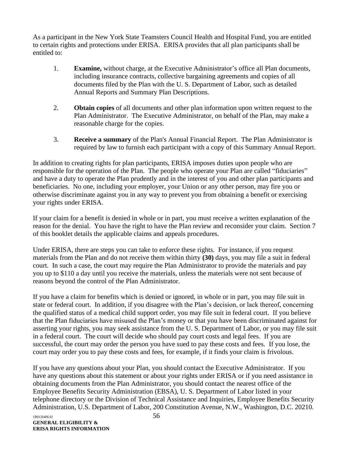As a participant in the New York State Teamsters Council Health and Hospital Fund, you are entitled to certain rights and protections under ERISA. ERISA provides that all plan participants shall be entitled to:

- 1. **Examine,** without charge, at the Executive Administrator's office all Plan documents, including insurance contracts, collective bargaining agreements and copies of all documents filed by the Plan with the U. S. Department of Labor, such as detailed Annual Reports and Summary Plan Descriptions.
- 2. **Obtain copies** of all documents and other plan information upon written request to the Plan Administrator. The Executive Administrator, on behalf of the Plan, may make a reasonable charge for the copies.
- 3. **Receive a summary** of the Plan's Annual Financial Report. The Plan Administrator is required by law to furnish each participant with a copy of this Summary Annual Report.

In addition to creating rights for plan participants, ERISA imposes duties upon people who are responsible for the operation of the Plan. The people who operate your Plan are called "fiduciaries" and have a duty to operate the Plan prudently and in the interest of you and other plan participants and beneficiaries. No one, including your employer, your Union or any other person, may fire you or otherwise discriminate against you in any way to prevent you from obtaining a benefit or exercising your rights under ERISA.

If your claim for a benefit is denied in whole or in part, you must receive a written explanation of the reason for the denial. You have the right to have the Plan review and reconsider your claim. Section 7 of this booklet details the applicable claims and appeals procedures.

Under ERISA, there are steps you can take to enforce these rights. For instance, if you request materials from the Plan and do not receive them within thirty **(30)** days, you may file a suit in federal court. In such a case, the court may require the Plan Administrator to provide the materials and pay you up to \$110 a day until you receive the materials, unless the materials were not sent because of reasons beyond the control of the Plan Administrator.

If you have a claim for benefits which is denied or ignored, in whole or in part, you may file suit in state or federal court. In addition, if you disagree with the Plan's decision, or lack thereof, concerning the qualified status of a medical child support order, you may file suit in federal court. If you believe that the Plan fiduciaries have misused the Plan's money or that you have been discriminated against for asserting your rights, you may seek assistance from the U. S. Department of Labor, or you may file suit in a federal court. The court will decide who should pay court costs and legal fees. If you are successful, the court may order the person you have sued to pay these costs and fees. If you lose, the court may order you to pay these costs and fees, for example, if it finds your claim is frivolous.

If you have any questions about your Plan, you should contact the Executive Administrator. If you have any questions about this statement or about your rights under ERISA or if you need assistance in obtaining documents from the Plan Administrator, you should contact the nearest office of the Employee Benefits Security Administration (EBSA), U. S. Department of Labor listed in your telephone directory or the Division of Technical Assistance and Inquiries, Employee Benefits Security Administration, U.S. Department of Labor, 200 Constitution Avenue, N.W., Washington, D.C. 20210.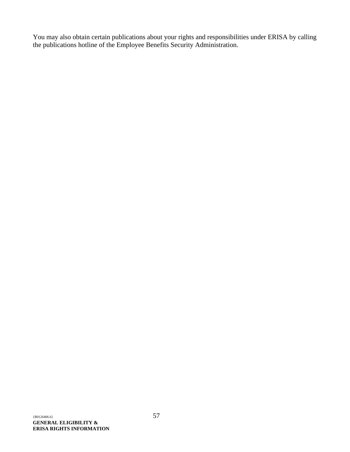You may also obtain certain publications about your rights and responsibilities under ERISA by calling the publications hotline of the Employee Benefits Security Administration.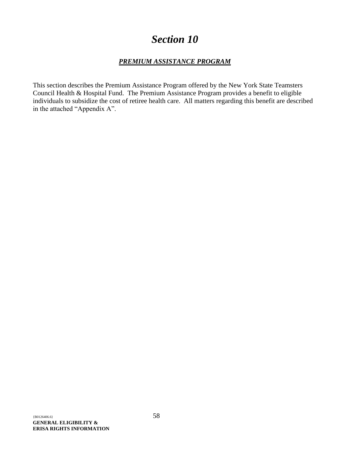## *Section 10*

#### *PREMIUM ASSISTANCE PROGRAM*

<span id="page-60-1"></span><span id="page-60-0"></span>This section describes the Premium Assistance Program offered by the New York State Teamsters Council Health & Hospital Fund. The Premium Assistance Program provides a benefit to eligible individuals to subsidize the cost of retiree health care. All matters regarding this benefit are described in the attached "Appendix A".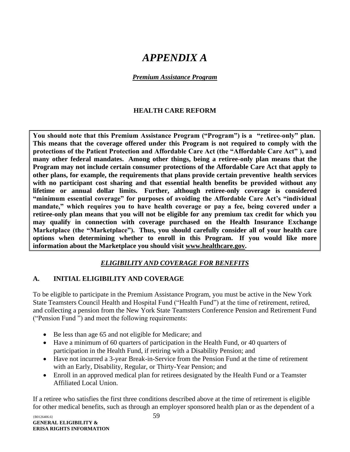## *APPENDIX A*

#### *Premium Assistance Program*

#### **HEALTH CARE REFORM**

<span id="page-61-1"></span><span id="page-61-0"></span>**You should note that this Premium Assistance Program ("Program") is a "retiree-only" plan. This means that the coverage offered under this Program is not required to comply with the protections of the Patient Protection and Affordable Care Act (the "Affordable Care Act" ), and many other federal mandates. Among other things, being a retiree-only plan means that the Program may not include certain consumer protections of the Affordable Care Act that apply to other plans, for example, the requirements that plans provide certain preventive health services with no participant cost sharing and that essential health benefits be provided without any lifetime or annual dollar limits. Further, although retiree-only coverage is considered "minimum essential coverage" for purposes of avoiding the Affordable Care Act's "individual mandate," which requires you to have health coverage or pay a fee, being covered under a retiree-only plan means that you will not be eligible for any premium tax credit for which you may qualify in connection with coverage purchased on the Health Insurance Exchange Marketplace (the "Marketplace"). Thus, you should carefully consider all of your health care options when determining whether to enroll in this Program. If you would like more information about the Marketplace you should visit [www.healthcare.gov.](http://www.healthcare.gov/)**

#### *ELIGIBILITY AND COVERAGE FOR BENEFITS*

#### **A. INITIAL ELIGIBILITY AND COVERAGE**

To be eligible to participate in the Premium Assistance Program, you must be active in the New York State Teamsters Council Health and Hospital Fund ("Health Fund") at the time of retirement, retired, and collecting a pension from the New York State Teamsters Conference Pension and Retirement Fund ("Pension Fund ") and meet the following requirements:

- Be less than age 65 and not eligible for Medicare; and
- Have a minimum of 60 quarters of participation in the Health Fund, or 40 quarters of participation in the Health Fund, if retiring with a Disability Pension; and
- Have not incurred a 3-year Break-in-Service from the Pension Fund at the time of retirement with an Early, Disability, Regular, or Thirty-Year Pension; and
- Enroll in an approved medical plan for retirees designated by the Health Fund or a Teamster Affiliated Local Union.

If a retiree who satisfies the first three conditions described above at the time of retirement is eligible for other medical benefits, such as through an employer sponsored health plan or as the dependent of a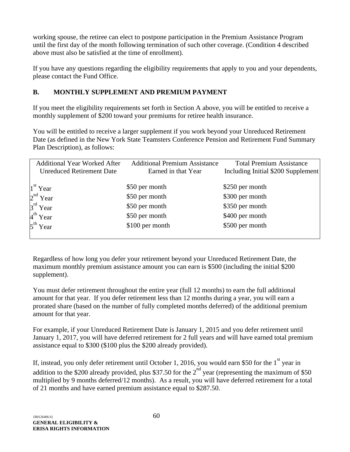working spouse, the retiree can elect to postpone participation in the Premium Assistance Program until the first day of the month following termination of such other coverage. (Condition 4 described above must also be satisfied at the time of enrollment).

If you have any questions regarding the eligibility requirements that apply to you and your dependents, please contact the Fund Office.

#### **B. MONTHLY SUPPLEMENT AND PREMIUM PAYMENT**

If you meet the eligibility requirements set forth in Section A above, you will be entitled to receive a monthly supplement of \$200 toward your premiums for retiree health insurance.

You will be entitled to receive a larger supplement if you work beyond your Unreduced Retirement Date (as defined in the New York State Teamsters Conference Pension and Retirement Fund Summary Plan Description), as follows:

| <b>Additional Year Worked After</b><br><b>Unreduced Retirement Date</b> | <b>Additional Premium Assistance</b><br>Earned in that Year | <b>Total Premium Assistance</b><br>Including Initial \$200 Supplement |
|-------------------------------------------------------------------------|-------------------------------------------------------------|-----------------------------------------------------------------------|
| $1st$ Year                                                              | \$50 per month                                              | \$250 per month                                                       |
|                                                                         | \$50 per month                                              | \$300 per month                                                       |
| $2nd$ Year<br>$3rd$ Year                                                | \$50 per month                                              | \$350 per month                                                       |
| $4^{\text{th}}$ Year                                                    | \$50 per month                                              | \$400 per month                                                       |
| $5^{\text{th}}$ Year                                                    | \$100 per month                                             | \$500 per month                                                       |

Regardless of how long you defer your retirement beyond your Unreduced Retirement Date, the maximum monthly premium assistance amount you can earn is \$500 (including the initial \$200 supplement).

You must defer retirement throughout the entire year (full 12 months) to earn the full additional amount for that year. If you defer retirement less than 12 months during a year, you will earn a prorated share (based on the number of fully completed months deferred) of the additional premium amount for that year.

For example, if your Unreduced Retirement Date is January 1, 2015 and you defer retirement until January 1, 2017, you will have deferred retirement for 2 full years and will have earned total premium assistance equal to \$300 (\$100 plus the \$200 already provided).

If, instead, you only defer retirement until October 1, 2016, you would earn \$50 for the  $1<sup>st</sup>$  year in addition to the \$200 already provided, plus \$37.50 for the  $2<sup>nd</sup>$  year (representing the maximum of \$50 multiplied by 9 months deferred/12 months). As a result, you will have deferred retirement for a total of 21 months and have earned premium assistance equal to \$287.50.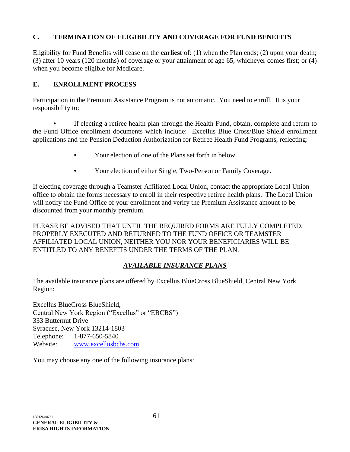#### **C. TERMINATION OF ELIGIBILITY AND COVERAGE FOR FUND BENEFITS**

Eligibility for Fund Benefits will cease on the **earliest** of: (1) when the Plan ends; (2) upon your death; (3) after 10 years (120 months) of coverage or your attainment of age 65, whichever comes first; or (4) when you become eligible for Medicare.

#### **E. ENROLLMENT PROCESS**

Participation in the Premium Assistance Program is not automatic. You need to enroll. It is your responsibility to:

**•** If electing a retiree health plan through the Health Fund, obtain, complete and return to the Fund Office enrollment documents which include: Excellus Blue Cross/Blue Shield enrollment applications and the Pension Deduction Authorization for Retiree Health Fund Programs, reflecting:

- **•** Your election of one of the Plans set forth in below.
- **•** Your election of either Single, Two-Person or Family Coverage.

If electing coverage through a Teamster Affiliated Local Union, contact the appropriate Local Union office to obtain the forms necessary to enroll in their respective retiree health plans. The Local Union will notify the Fund Office of your enrollment and verify the Premium Assistance amount to be discounted from your monthly premium.

PLEASE BE ADVISED THAT UNTIL THE REQUIRED FORMS ARE FULLY COMPLETED, PROPERLY EXECUTED AND RETURNED TO THE FUND OFFICE OR TEAMSTER AFFILIATED LOCAL UNION, NEITHER YOU NOR YOUR BENEFICIARIES WILL BE ENTITLED TO ANY BENEFITS UNDER THE TERMS OF THE PLAN.

#### *AVAILABLE INSURANCE PLANS*

The available insurance plans are offered by Excellus BlueCross BlueShield, Central New York Region:

Excellus BlueCross BlueShield, Central New York Region ("Excellus" or "EBCBS") 333 Butternut Drive Syracuse, New York 13214-1803 Telephone: 1-877-650-5840 Website: [www.excellusbcbs.com](http://www.excellusbcbs.com/)

You may choose any one of the following insurance plans: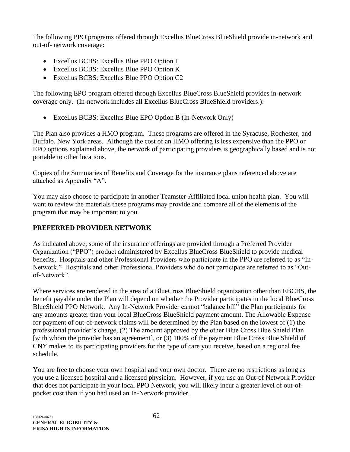The following PPO programs offered through Excellus BlueCross BlueShield provide in-network and out-of- network coverage:

- Excellus BCBS: Excellus Blue PPO Option I
- Excellus BCBS: Excellus Blue PPO Option K
- Excellus BCBS: Excellus Blue PPO Option C2

The following EPO program offered through Excellus BlueCross BlueShield provides in-network coverage only. (In-network includes all Excellus BlueCross BlueShield providers.):

• Excellus BCBS: Excellus Blue EPO Option B (In-Network Only)

The Plan also provides a HMO program. These programs are offered in the Syracuse, Rochester, and Buffalo, New York areas. Although the cost of an HMO offering is less expensive than the PPO or EPO options explained above, the network of participating providers is geographically based and is not portable to other locations.

Copies of the Summaries of Benefits and Coverage for the insurance plans referenced above are attached as Appendix "A".

You may also choose to participate in another Teamster-Affiliated local union health plan. You will want to review the materials these programs may provide and compare all of the elements of the program that may be important to you.

### **PREFERRED PROVIDER NETWORK**

As indicated above, some of the insurance offerings are provided through a Preferred Provider Organization ("PPO") product administered by Excellus BlueCross BlueShield to provide medical benefits. Hospitals and other Professional Providers who participate in the PPO are referred to as "In-Network." Hospitals and other Professional Providers who do not participate are referred to as "Outof-Network".

Where services are rendered in the area of a BlueCross BlueShield organization other than EBCBS, the benefit payable under the Plan will depend on whether the Provider participates in the local BlueCross BlueShield PPO Network. Any In-Network Provider cannot "balance bill" the Plan participants for any amounts greater than your local BlueCross BlueShield payment amount. The Allowable Expense for payment of out-of-network claims will be determined by the Plan based on the lowest of (1) the professional provider's charge, (2) The amount approved by the other Blue Cross Blue Shield Plan [with whom the provider has an agreement], or (3) 100% of the payment Blue Cross Blue Shield of CNY makes to its participating providers for the type of care you receive, based on a regional fee schedule.

You are free to choose your own hospital and your own doctor. There are no restrictions as long as you use a licensed hospital and a licensed physician. However, if you use an Out-of Network Provider that does not participate in your local PPO Network, you will likely incur a greater level of out-ofpocket cost than if you had used an In-Network provider.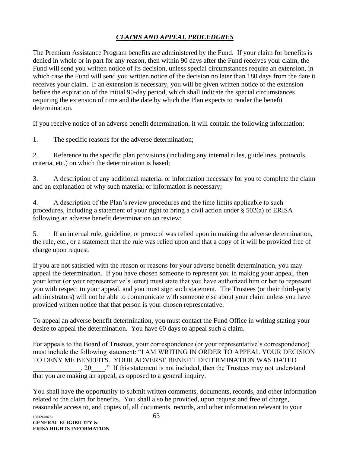#### *CLAIMS AND APPEAL PROCEDURES*

The Premium Assistance Program benefits are administered by the Fund. If your claim for benefits is denied in whole or in part for any reason, then within 90 days after the Fund receives your claim, the Fund will send you written notice of its decision, unless special circumstances require an extension, in which case the Fund will send you written notice of the decision no later than 180 days from the date it receives your claim. If an extension is necessary, you will be given written notice of the extension before the expiration of the initial 90-day period, which shall indicate the special circumstances requiring the extension of time and the date by which the Plan expects to render the benefit determination.

If you receive notice of an adverse benefit determination, it will contain the following information:

1. The specific reasons for the adverse determination;

2. Reference to the specific plan provisions (including any internal rules, guidelines, protocols, criteria, etc.) on which the determination is based;

3. A description of any additional material or information necessary for you to complete the claim and an explanation of why such material or information is necessary;

4. A description of the Plan's review procedures and the time limits applicable to such procedures, including a statement of your right to bring a civil action under § 502(a) of ERISA following an adverse benefit determination on review;

5. If an internal rule, guideline, or protocol was relied upon in making the adverse determination, the rule, etc., or a statement that the rule was relied upon and that a copy of it will be provided free of charge upon request.

If you are not satisfied with the reason or reasons for your adverse benefit determination, you may appeal the determination. If you have chosen someone to represent you in making your appeal, then your letter (or your representative's letter) must state that you have authorized him or her to represent you with respect to your appeal, and you must sign such statement. The Trustees (or their third-party administrators) will not be able to communicate with someone else about your claim unless you have provided written notice that that person is your chosen representative.

To appeal an adverse benefit determination, you must contact the Fund Office in writing stating your desire to appeal the determination. You have 60 days to appeal such a claim.

For appeals to the Board of Trustees, your correspondence (or your representative's correspondence) must include the following statement: "I AM WRITING IN ORDER TO APPEAL YOUR DECISION TO DENY ME BENEFITS. YOUR ADVERSE BENEFIT DETERMINATION WAS DATED . 20  $\cdots$  If this statement is not included, then the Trustees may not understand that you are making an appeal, as opposed to a general inquiry.

You shall have the opportunity to submit written comments, documents, records, and other information related to the claim for benefits. You shall also be provided, upon request and free of charge, reasonable access to, and copies of, all documents, records, and other information relevant to your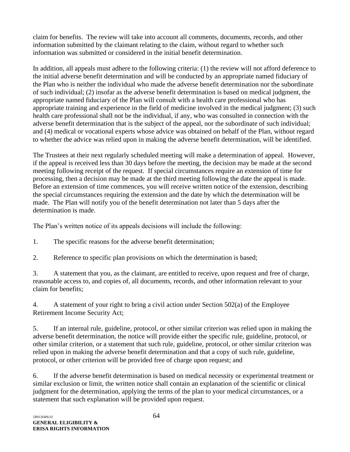claim for benefits. The review will take into account all comments, documents, records, and other information submitted by the claimant relating to the claim, without regard to whether such information was submitted or considered in the initial benefit determination.

In addition, all appeals must adhere to the following criteria: (1) the review will not afford deference to the initial adverse benefit determination and will be conducted by an appropriate named fiduciary of the Plan who is neither the individual who made the adverse benefit determination nor the subordinate of such individual; (2) insofar as the adverse benefit determination is based on medical judgment, the appropriate named fiduciary of the Plan will consult with a health care professional who has appropriate training and experience in the field of medicine involved in the medical judgment; (3) such health care professional shall not be the individual, if any, who was consulted in connection with the adverse benefit determination that is the subject of the appeal, nor the subordinate of such individual; and (4) medical or vocational experts whose advice was obtained on behalf of the Plan, without regard to whether the advice was relied upon in making the adverse benefit determination, will be identified.

The Trustees at their next regularly scheduled meeting will make a determination of appeal. However, if the appeal is received less than 30 days before the meeting, the decision may be made at the second meeting following receipt of the request. If special circumstances require an extension of time for processing, then a decision may be made at the third meeting following the date the appeal is made. Before an extension of time commences, you will receive written notice of the extension, describing the special circumstances requiring the extension and the date by which the determination will be made. The Plan will notify you of the benefit determination not later than 5 days after the determination is made.

The Plan's written notice of its appeals decisions will include the following:

- 1. The specific reasons for the adverse benefit determination;
- 2. Reference to specific plan provisions on which the determination is based;

3. A statement that you, as the claimant, are entitled to receive, upon request and free of charge, reasonable access to, and copies of, all documents, records, and other information relevant to your claim for benefits;

4. A statement of your right to bring a civil action under Section 502(a) of the Employee Retirement Income Security Act;

5. If an internal rule, guideline, protocol, or other similar criterion was relied upon in making the adverse benefit determination, the notice will provide either the specific rule, guideline, protocol, or other similar criterion, or a statement that such rule, guideline, protocol, or other similar criterion was relied upon in making the adverse benefit determination and that a copy of such rule, guideline, protocol, or other criterion will be provided free of charge upon request; and

6. If the adverse benefit determination is based on medical necessity or experimental treatment or similar exclusion or limit, the written notice shall contain an explanation of the scientific or clinical judgment for the determination, applying the terms of the plan to your medical circumstances, or a statement that such explanation will be provided upon request.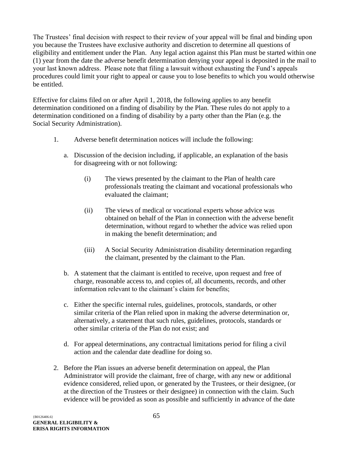The Trustees' final decision with respect to their review of your appeal will be final and binding upon you because the Trustees have exclusive authority and discretion to determine all questions of eligibility and entitlement under the Plan. Any legal action against this Plan must be started within one (1) year from the date the adverse benefit determination denying your appeal is deposited in the mail to your last known address. Please note that filing a lawsuit without exhausting the Fund's appeals procedures could limit your right to appeal or cause you to lose benefits to which you would otherwise be entitled.

Effective for claims filed on or after April 1, 2018, the following applies to any benefit determination conditioned on a finding of disability by the Plan. These rules do not apply to a determination conditioned on a finding of disability by a party other than the Plan (e.g. the Social Security Administration).

- 1. Adverse benefit determination notices will include the following:
	- a. Discussion of the decision including, if applicable, an explanation of the basis for disagreeing with or not following:
		- (i) The views presented by the claimant to the Plan of health care professionals treating the claimant and vocational professionals who evaluated the claimant;
		- (ii) The views of medical or vocational experts whose advice was obtained on behalf of the Plan in connection with the adverse benefit determination, without regard to whether the advice was relied upon in making the benefit determination; and
		- (iii) A Social Security Administration disability determination regarding the claimant, presented by the claimant to the Plan.
	- b. A statement that the claimant is entitled to receive, upon request and free of charge, reasonable access to, and copies of, all documents, records, and other information relevant to the claimant's claim for benefits;
	- c. Either the specific internal rules, guidelines, protocols, standards, or other similar criteria of the Plan relied upon in making the adverse determination or, alternatively, a statement that such rules, guidelines, protocols, standards or other similar criteria of the Plan do not exist; and
	- d. For appeal determinations, any contractual limitations period for filing a civil action and the calendar date deadline for doing so.
- 2. Before the Plan issues an adverse benefit determination on appeal, the Plan Administrator will provide the claimant, free of charge, with any new or additional evidence considered, relied upon, or generated by the Trustees, or their designee, (or at the direction of the Trustees or their designee) in connection with the claim. Such evidence will be provided as soon as possible and sufficiently in advance of the date